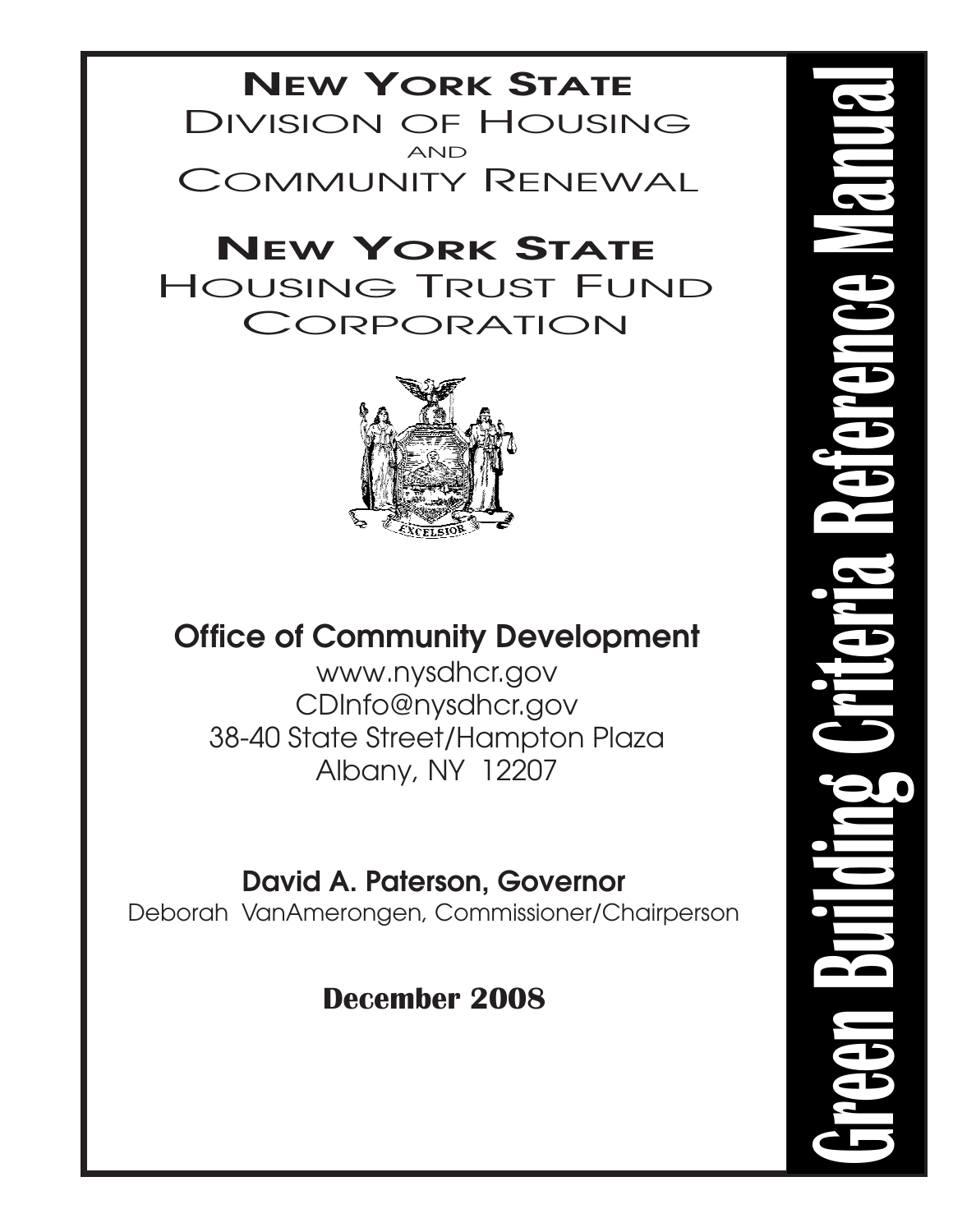## **NEW YORK STATE** DIVISION OF HOUSING COMMUNITY RENEWAL AND

# **NEW YORK STATE** HOUSING TRUST FUND **CORPORATION**



# **Office of Community Development**

www.nysdhcr.gov CDInfo@nysdhcr.gov 38-40 State Street/Hampton Plaza Albany, NY 12207

# **David A. Paterson, Governor**

Deborah VanAmerongen, Commissioner/Chairperson

# **December 2008**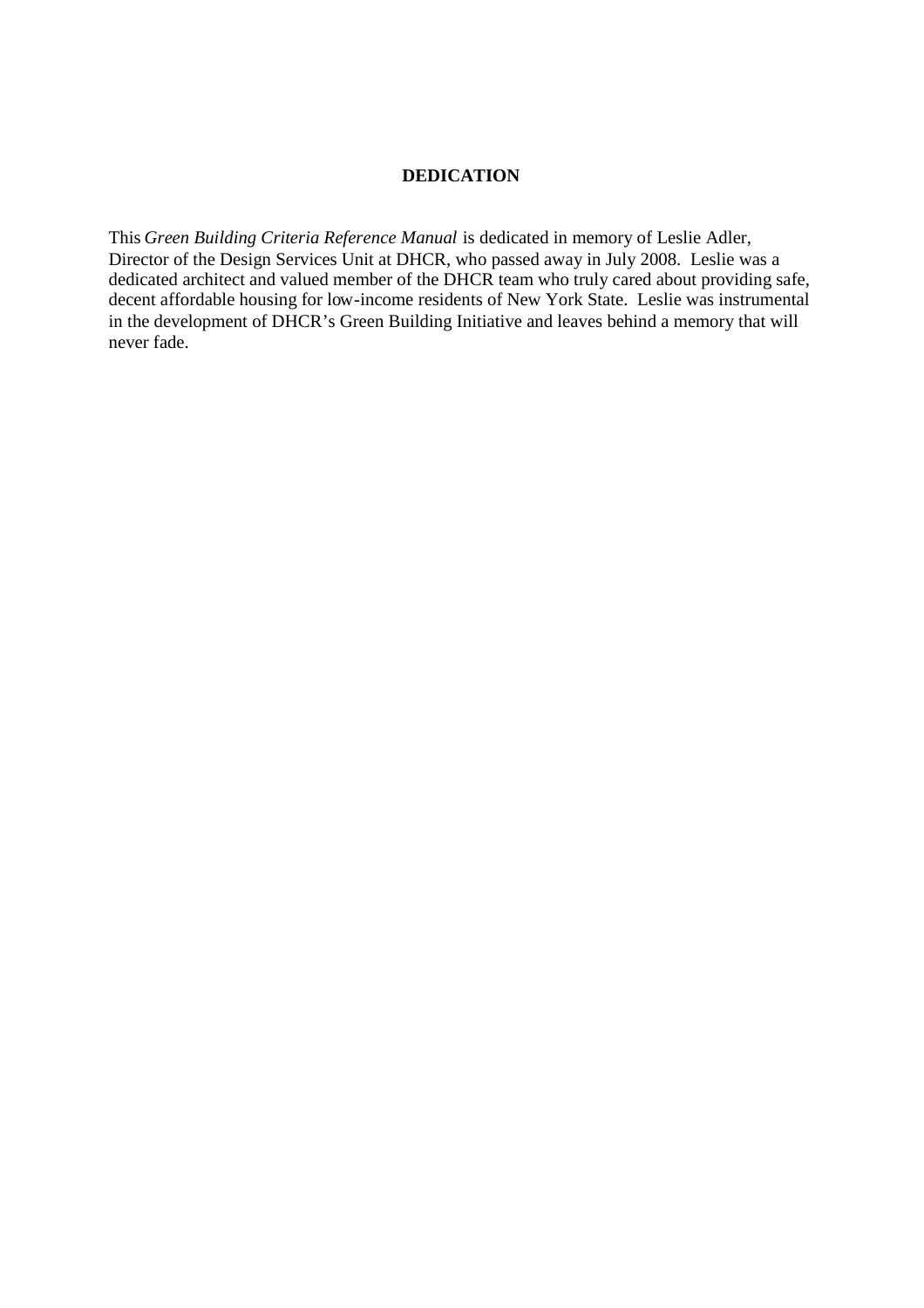#### **DEDICATION**

This *Green Building Criteria Reference Manual* is dedicated in memory of Leslie Adler, Director of the Design Services Unit at DHCR, who passed away in July 2008. Leslie was a dedicated architect and valued member of the DHCR team who truly cared about providing safe, decent affordable housing for low-income residents of New York State. Leslie was instrumental in the development of DHCR's Green Building Initiative and leaves behind a memory that will never fade.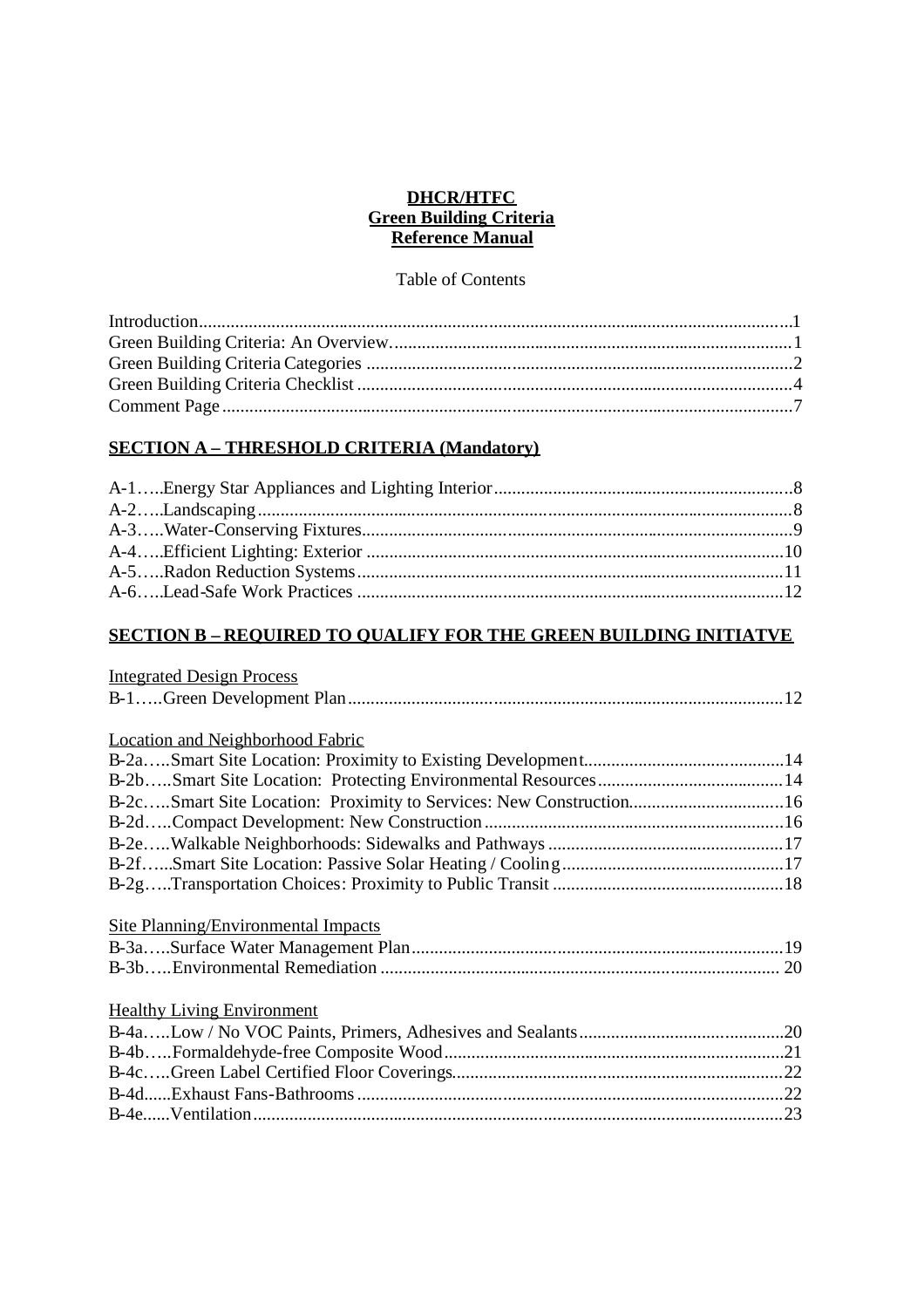#### **DHCR/HTFC Green Building Criteria Reference Manual**

#### Table of Contents

#### **SECTION A – THRESHOLD CRITERIA (Mandatory)**

#### **SECTION B – REQUIRED TO QUALIFY FOR THE GREEN BUILDING INITIATVE**

| <b>Integrated Design Process</b>           |  |
|--------------------------------------------|--|
|                                            |  |
|                                            |  |
| <b>Location and Neighborhood Fabric</b>    |  |
|                                            |  |
|                                            |  |
|                                            |  |
|                                            |  |
|                                            |  |
|                                            |  |
|                                            |  |
|                                            |  |
| <b>Site Planning/Environmental Impacts</b> |  |
|                                            |  |
|                                            |  |
|                                            |  |
| <b>Healthy Living Environment</b>          |  |
|                                            |  |
|                                            |  |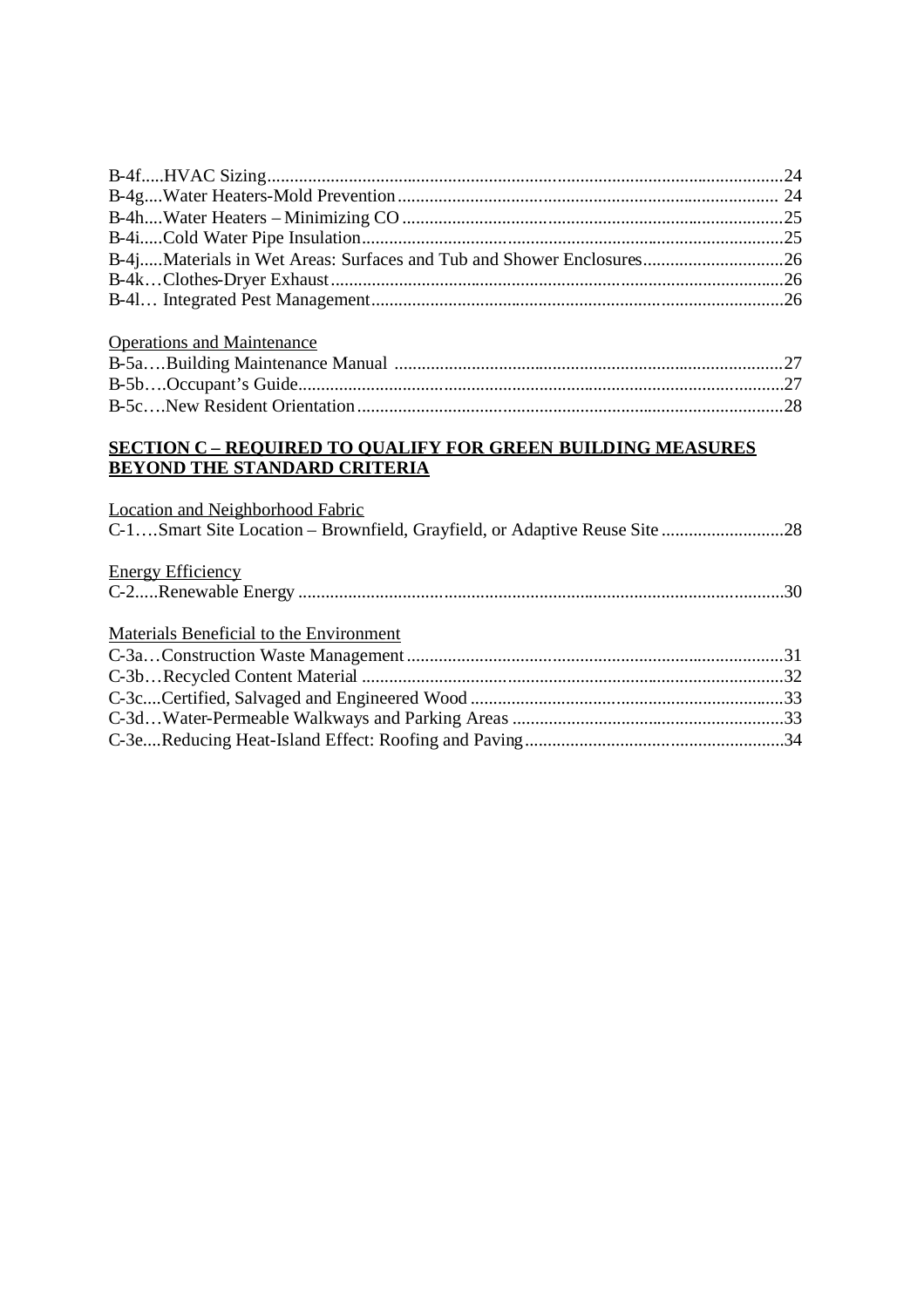## Operations and Maintenance

#### **SECTION C – REQUIRED TO QUALIFY FOR GREEN BUILDING MEASURES BEYOND THE STANDARD CRITERIA**

| <b>Location and Neighborhood Fabric</b><br>C-1Smart Site Location – Brownfield, Grayfield, or Adaptive Reuse Site |  |
|-------------------------------------------------------------------------------------------------------------------|--|
| <b>Energy Efficiency</b>                                                                                          |  |
|                                                                                                                   |  |
| Materials Beneficial to the Environment                                                                           |  |
|                                                                                                                   |  |
|                                                                                                                   |  |
|                                                                                                                   |  |
|                                                                                                                   |  |
|                                                                                                                   |  |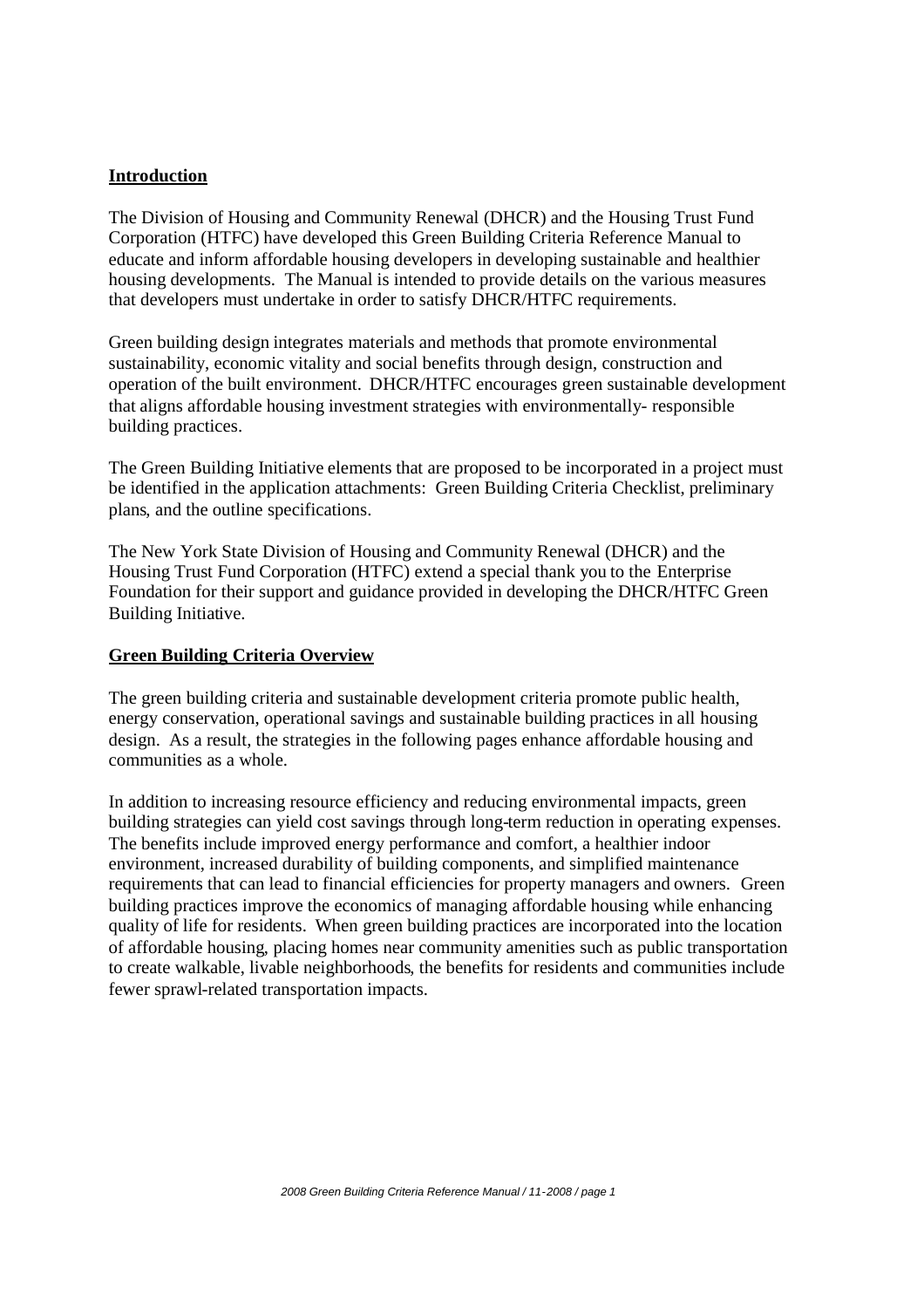#### **Introduction**

The Division of Housing and Community Renewal (DHCR) and the Housing Trust Fund Corporation (HTFC) have developed this Green Building Criteria Reference Manual to educate and inform affordable housing developers in developing sustainable and healthier housing developments. The Manual is intended to provide details on the various measures that developers must undertake in order to satisfy DHCR/HTFC requirements.

Green building design integrates materials and methods that promote environmental sustainability, economic vitality and social benefits through design, construction and operation of the built environment. DHCR/HTFC encourages green sustainable development that aligns affordable housing investment strategies with environmentally- responsible building practices.

The Green Building Initiative elements that are proposed to be incorporated in a project must be identified in the application attachments: Green Building Criteria Checklist, preliminary plans, and the outline specifications.

The New York State Division of Housing and Community Renewal (DHCR) and the Housing Trust Fund Corporation (HTFC) extend a special thank you to the Enterprise Foundation for their support and guidance provided in developing the DHCR/HTFC Green Building Initiative.

#### **Green Building Criteria Overview**

The green building criteria and sustainable development criteria promote public health, energy conservation, operational savings and sustainable building practices in all housing design. As a result, the strategies in the following pages enhance affordable housing and communities as a whole.

In addition to increasing resource efficiency and reducing environmental impacts, green building strategies can yield cost savings through long-term reduction in operating expenses. The benefits include improved energy performance and comfort, a healthier indoor environment, increased durability of building components, and simplified maintenance requirements that can lead to financial efficiencies for property managers and owners. Green building practices improve the economics of managing affordable housing while enhancing quality of life for residents. When green building practices are incorporated into the location of affordable housing, placing homes near community amenities such as public transportation to create walkable, livable neighborhoods, the benefits for residents and communities include fewer sprawl-related transportation impacts.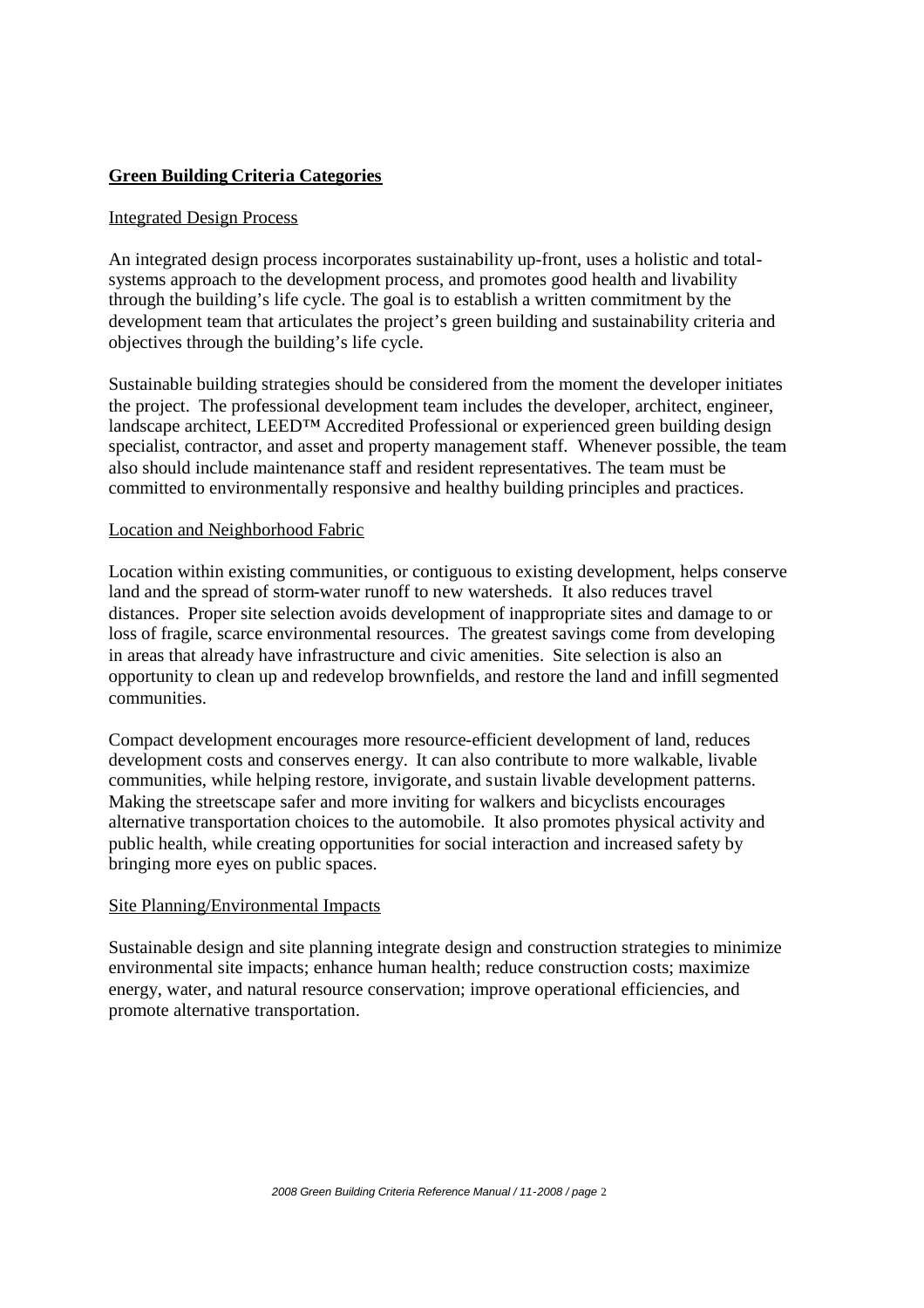#### **Green Building Criteria Categories**

#### Integrated Design Process

An integrated design process incorporates sustainability up-front, uses a holistic and totalsystems approach to the development process, and promotes good health and livability through the building's life cycle. The goal is to establish a written commitment by the development team that articulates the project's green building and sustainability criteria and objectives through the building's life cycle.

Sustainable building strategies should be considered from the moment the developer initiates the project. The professional development team includes the developer, architect, engineer, landscape architect, LEED™ Accredited Professional or experienced green building design specialist, contractor, and asset and property management staff. Whenever possible, the team also should include maintenance staff and resident representatives. The team must be committed to environmentally responsive and healthy building principles and practices.

#### Location and Neighborhood Fabric

Location within existing communities, or contiguous to existing development, helps conserve land and the spread of storm-water runoff to new watersheds. It also reduces travel distances. Proper site selection avoids development of inappropriate sites and damage to or loss of fragile, scarce environmental resources. The greatest savings come from developing in areas that already have infrastructure and civic amenities. Site selection is also an opportunity to clean up and redevelop brownfields, and restore the land and infill segmented communities.

Compact development encourages more resource-efficient development of land, reduces development costs and conserves energy. It can also contribute to more walkable, livable communities, while helping restore, invigorate, and sustain livable development patterns. Making the streetscape safer and more inviting for walkers and bicyclists encourages alternative transportation choices to the automobile. It also promotes physical activity and public health, while creating opportunities for social interaction and increased safety by bringing more eyes on public spaces.

#### Site Planning/Environmental Impacts

Sustainable design and site planning integrate design and construction strategies to minimize environmental site impacts; enhance human health; reduce construction costs; maximize energy, water, and natural resource conservation; improve operational efficiencies, and promote alternative transportation.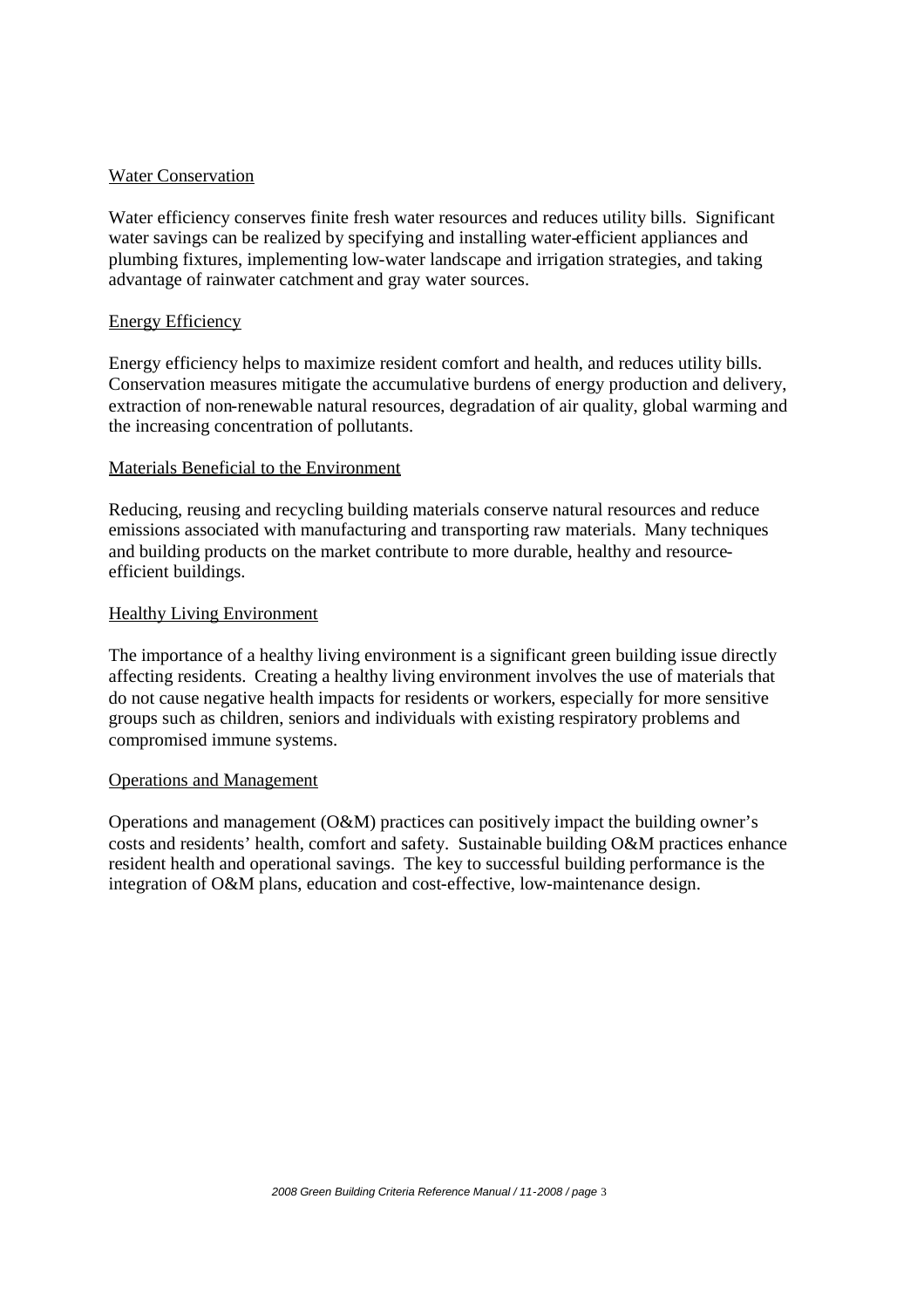#### Water Conservation

Water efficiency conserves finite fresh water resources and reduces utility bills. Significant water savings can be realized by specifying and installing water-efficient appliances and plumbing fixtures, implementing low-water landscape and irrigation strategies, and taking advantage of rainwater catchment and gray water sources.

#### Energy Efficiency

Energy efficiency helps to maximize resident comfort and health, and reduces utility bills. Conservation measures mitigate the accumulative burdens of energy production and delivery, extraction of non-renewable natural resources, degradation of air quality, global warming and the increasing concentration of pollutants.

#### Materials Beneficial to the Environment

Reducing, reusing and recycling building materials conserve natural resources and reduce emissions associated with manufacturing and transporting raw materials. Many techniques and building products on the market contribute to more durable, healthy and resourceefficient buildings.

#### Healthy Living Environment

The importance of a healthy living environment is a significant green building issue directly affecting residents. Creating a healthy living environment involves the use of materials that do not cause negative health impacts for residents or workers, especially for more sensitive groups such as children, seniors and individuals with existing respiratory problems and compromised immune systems.

#### Operations and Management

Operations and management (O&M) practices can positively impact the building owner's costs and residents' health, comfort and safety. Sustainable building O&M practices enhance resident health and operational savings. The key to successful building performance is the integration of O&M plans, education and cost-effective, low-maintenance design.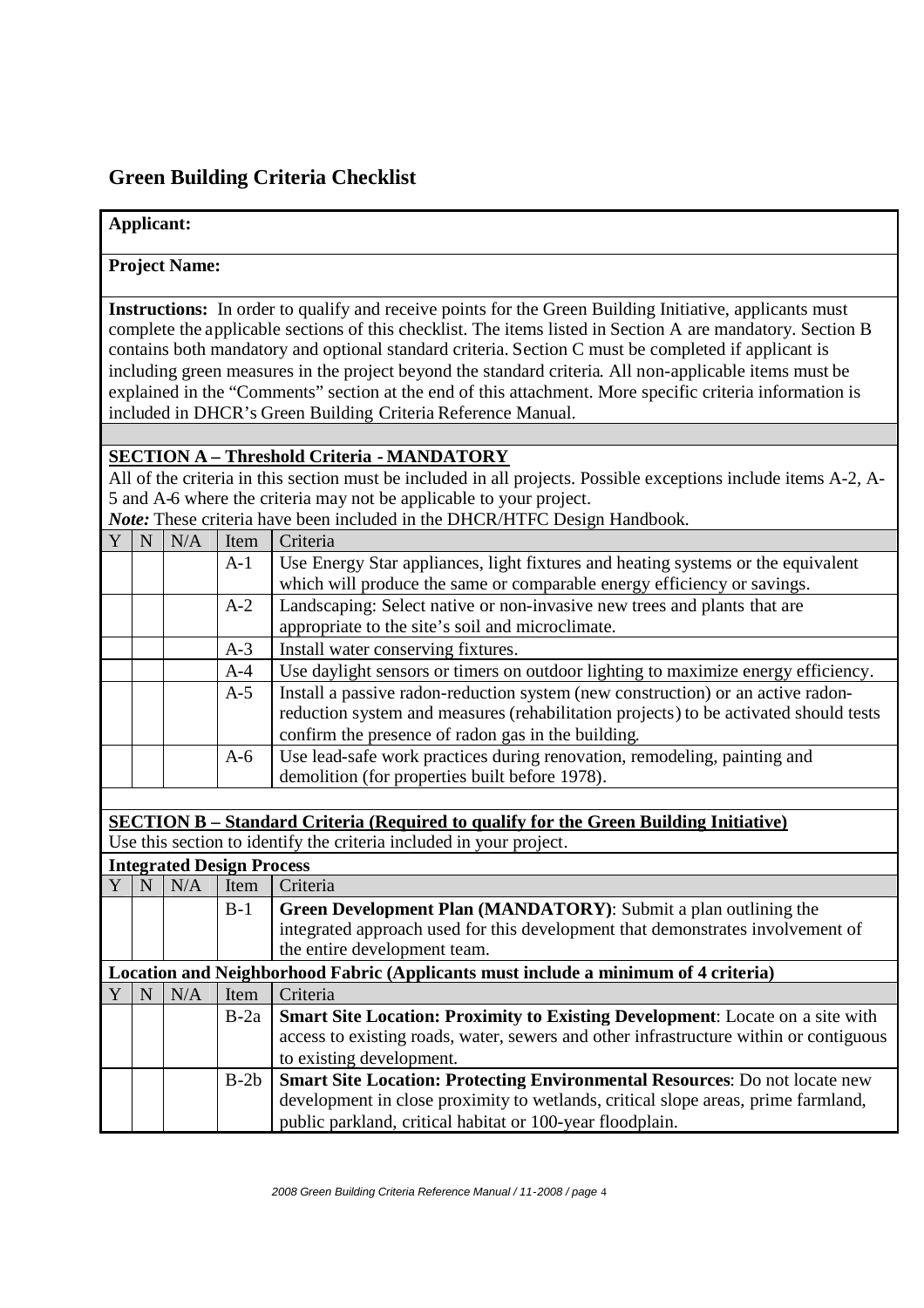## **Green Building Criteria Checklist**

## **Applicant: Project Name: Instructions:** In order to qualify and receive points for the Green Building Initiative, applicants must complete the applicable sections of this checklist. The items listed in Section A are mandatory. Section B contains both mandatory and optional standard criteria. Section C must be completed if applicant is including green measures in the project beyond the standard criteria. All non-applicable items must be explained in the "Comments" section at the end of this attachment. More specific criteria information is included in DHCR's Green Building Criteria Reference Manual. **SECTION A – Threshold Criteria - MANDATORY** All of the criteria in this section must be included in all projects. Possible exceptions include items A-2, A-5 and A-6 where the criteria may not be applicable to your project. *Note:* These criteria have been included in the DHCR/HTFC Design Handbook. Y N N/A Item Criteria A-1 Use Energy Star appliances, light fixtures and heating systems or the equivalent which will produce the same or comparable energy efficiency or savings. A-2 Landscaping: Select native or non-invasive new trees and plants that are appropriate to the site's soil and microclimate. A-3 Install water conserving fixtures. A-4 Use daylight sensors or timers on outdoor lighting to maximize energy efficiency. A-5 Install a passive radon-reduction system (new construction) or an active radonreduction system and measures (rehabilitation projects) to be activated should tests confirm the presence of radon gas in the building. A-6 Use lead-safe work practices during renovation, remodeling, painting and demolition (for properties built before 1978). **SECTION B – Standard Criteria (Required to qualify for the Green Building Initiative)** Use this section to identify the criteria included in your project. **Integrated Design Process**  $Y \mid N \mid N/A \mid$  Item Criteria B-1 **Green Development Plan (MANDATORY)**: Submit a plan outlining the integrated approach used for this development that demonstrates involvement of the entire development team. **Location and Neighborhood Fabric (Applicants must include a minimum of 4 criteria)**  $Y \mid N \mid N/A \mid$  Item Criteria B-2a **Smart Site Location: Proximity to Existing Development**: Locate on a site with access to existing roads, water, sewers and other infrastructure within or contiguous to existing development. B-2b **Smart Site Location: Protecting Environmental Resources**: Do not locate new development in close proximity to wetlands, critical slope areas, prime farmland, public parkland, critical habitat or 100-year floodplain.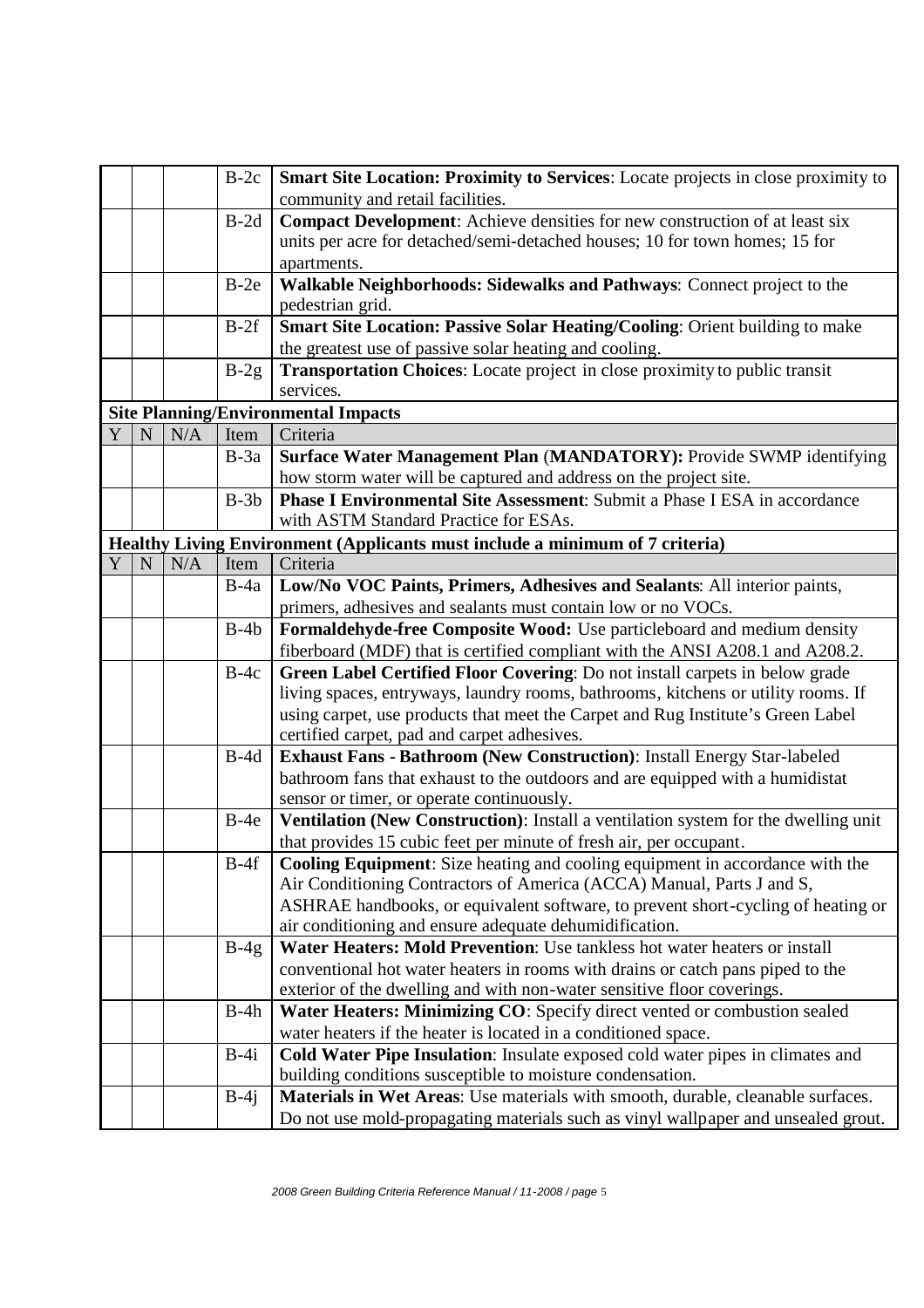|   |   |     | $B-2c$ | Smart Site Location: Proximity to Services: Locate projects in close proximity to                                                          |
|---|---|-----|--------|--------------------------------------------------------------------------------------------------------------------------------------------|
|   |   |     |        | community and retail facilities.                                                                                                           |
|   |   |     | $B-2d$ | Compact Development: Achieve densities for new construction of at least six                                                                |
|   |   |     |        | units per acre for detached/semi-detached houses; 10 for town homes; 15 for                                                                |
|   |   |     |        | apartments.                                                                                                                                |
|   |   |     | $B-2e$ | Walkable Neighborhoods: Sidewalks and Pathways: Connect project to the                                                                     |
|   |   |     |        | pedestrian grid.                                                                                                                           |
|   |   |     | $B-2f$ | Smart Site Location: Passive Solar Heating/Cooling: Orient building to make                                                                |
|   |   |     |        | the greatest use of passive solar heating and cooling.                                                                                     |
|   |   |     | $B-2g$ | <b>Transportation Choices:</b> Locate project in close proximity to public transit                                                         |
|   |   |     |        | services.                                                                                                                                  |
|   |   |     |        | <b>Site Planning/Environmental Impacts</b>                                                                                                 |
| Y | N | N/A | Item   | Criteria                                                                                                                                   |
|   |   |     | $B-3a$ | Surface Water Management Plan (MANDATORY): Provide SWMP identifying                                                                        |
|   |   |     |        | how storm water will be captured and address on the project site.                                                                          |
|   |   |     | $B-3b$ | <b>Phase I Environmental Site Assessment:</b> Submit a Phase I ESA in accordance                                                           |
|   |   |     |        | with ASTM Standard Practice for ESAs.                                                                                                      |
|   |   |     |        | Healthy Living Environment (Applicants must include a minimum of 7 criteria)                                                               |
| Y | N | N/A | Item   | Criteria                                                                                                                                   |
|   |   |     | $B-4a$ | Low/No VOC Paints, Primers, Adhesives and Sealants: All interior paints,                                                                   |
|   |   |     |        | primers, adhesives and sealants must contain low or no VOCs.                                                                               |
|   |   |     | $B-4b$ | Formaldehyde-free Composite Wood: Use particleboard and medium density                                                                     |
|   |   |     |        | fiberboard (MDF) that is certified compliant with the ANSI A208.1 and A208.2.                                                              |
|   |   |     | $B-4c$ | Green Label Certified Floor Covering: Do not install carpets in below grade                                                                |
|   |   |     |        | living spaces, entryways, laundry rooms, bathrooms, kitchens or utility rooms. If                                                          |
|   |   |     |        | using carpet, use products that meet the Carpet and Rug Institute's Green Label                                                            |
|   |   |     |        | certified carpet, pad and carpet adhesives.                                                                                                |
|   |   |     | $B-4d$ | Exhaust Fans - Bathroom (New Construction): Install Energy Star-labeled                                                                    |
|   |   |     |        | bathroom fans that exhaust to the outdoors and are equipped with a humidistat                                                              |
|   |   |     |        | sensor or timer, or operate continuously.                                                                                                  |
|   |   |     | $B-4e$ | Ventilation (New Construction): Install a ventilation system for the dwelling unit                                                         |
|   |   |     |        | that provides 15 cubic feet per minute of fresh air, per occupant.                                                                         |
|   |   |     | B-4f   | <b>Cooling Equipment:</b> Size heating and cooling equipment in accordance with the                                                        |
|   |   |     |        | Air Conditioning Contractors of America (ACCA) Manual, Parts J and S,                                                                      |
|   |   |     |        | ASHRAE handbooks, or equivalent software, to prevent short-cycling of heating or<br>air conditioning and ensure adequate dehumidification. |
|   |   |     |        | Water Heaters: Mold Prevention: Use tankless hot water heaters or install                                                                  |
|   |   |     | $B-4g$ | conventional hot water heaters in rooms with drains or catch pans piped to the                                                             |
|   |   |     |        | exterior of the dwelling and with non-water sensitive floor coverings.                                                                     |
|   |   |     | $B-4h$ | Water Heaters: Minimizing CO: Specify direct vented or combustion sealed                                                                   |
|   |   |     |        | water heaters if the heater is located in a conditioned space.                                                                             |
|   |   |     | $B-4i$ | Cold Water Pipe Insulation: Insulate exposed cold water pipes in climates and                                                              |
|   |   |     |        | building conditions susceptible to moisture condensation.                                                                                  |
|   |   |     | $B-4j$ | Materials in Wet Areas: Use materials with smooth, durable, cleanable surfaces.                                                            |
|   |   |     |        | Do not use mold-propagating materials such as vinyl wallpaper and unsealed grout.                                                          |
|   |   |     |        |                                                                                                                                            |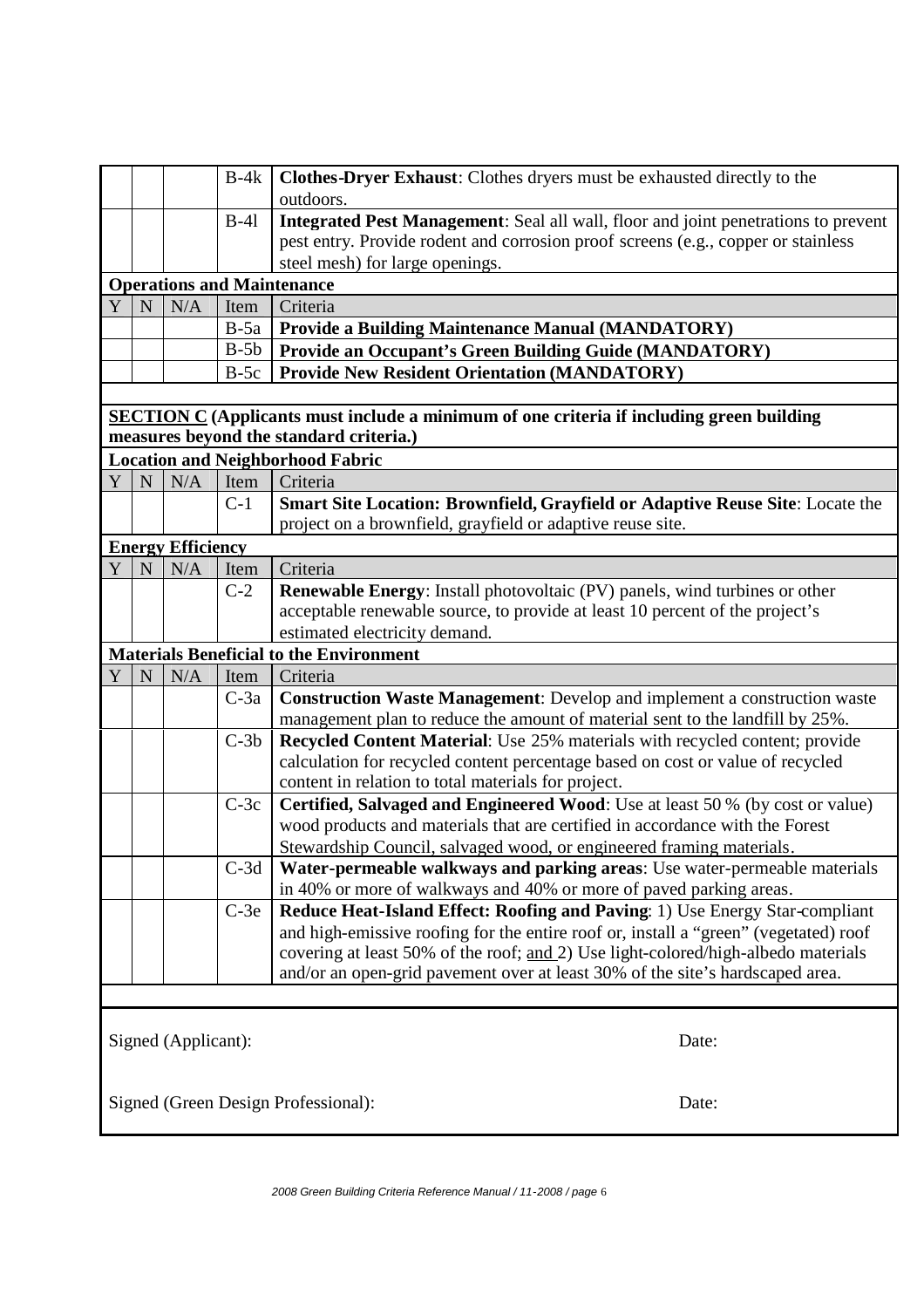|   |                                   |                          | $B-4k$ | Clothes-Dryer Exhaust: Clothes dryers must be exhausted directly to the<br>outdoors.                                                            |  |  |
|---|-----------------------------------|--------------------------|--------|-------------------------------------------------------------------------------------------------------------------------------------------------|--|--|
|   |                                   |                          | $B-41$ | Integrated Pest Management: Seal all wall, floor and joint penetrations to prevent                                                              |  |  |
|   |                                   |                          |        | pest entry. Provide rodent and corrosion proof screens (e.g., copper or stainless                                                               |  |  |
|   |                                   |                          |        | steel mesh) for large openings.                                                                                                                 |  |  |
|   | <b>Operations and Maintenance</b> |                          |        |                                                                                                                                                 |  |  |
| Y | N                                 | N/A                      | Item   | Criteria                                                                                                                                        |  |  |
|   |                                   |                          | $B-5a$ | <b>Provide a Building Maintenance Manual (MANDATORY)</b>                                                                                        |  |  |
|   |                                   |                          | $B-5b$ | <b>Provide an Occupant's Green Building Guide (MANDATORY)</b>                                                                                   |  |  |
|   |                                   |                          | $B-5c$ | <b>Provide New Resident Orientation (MANDATORY)</b>                                                                                             |  |  |
|   |                                   |                          |        |                                                                                                                                                 |  |  |
|   |                                   |                          |        | <b>SECTION C</b> (Applicants must include a minimum of one criteria if including green building<br>measures beyond the standard criteria.)      |  |  |
|   |                                   |                          |        | <b>Location and Neighborhood Fabric</b>                                                                                                         |  |  |
| Y | N                                 | N/A                      | Item   | Criteria                                                                                                                                        |  |  |
|   |                                   |                          | $C-1$  | Smart Site Location: Brownfield, Grayfield or Adaptive Reuse Site: Locate the                                                                   |  |  |
|   |                                   |                          |        | project on a brownfield, grayfield or adaptive reuse site.                                                                                      |  |  |
|   |                                   | <b>Energy Efficiency</b> |        |                                                                                                                                                 |  |  |
| Y | $\mathbf N$                       | N/A                      | Item   | Criteria                                                                                                                                        |  |  |
|   |                                   |                          | $C-2$  | <b>Renewable Energy:</b> Install photovoltaic (PV) panels, wind turbines or other                                                               |  |  |
|   |                                   |                          |        | acceptable renewable source, to provide at least 10 percent of the project's                                                                    |  |  |
|   |                                   |                          |        | estimated electricity demand.                                                                                                                   |  |  |
|   |                                   |                          |        | <b>Materials Beneficial to the Environment</b>                                                                                                  |  |  |
| Y | N                                 | N/A                      | Item   | Criteria                                                                                                                                        |  |  |
|   |                                   |                          | $C-3a$ | <b>Construction Waste Management:</b> Develop and implement a construction waste                                                                |  |  |
|   |                                   |                          |        | management plan to reduce the amount of material sent to the landfill by 25%.                                                                   |  |  |
|   |                                   |                          | $C-3b$ | Recycled Content Material: Use 25% materials with recycled content; provide                                                                     |  |  |
|   |                                   |                          |        | calculation for recycled content percentage based on cost or value of recycled                                                                  |  |  |
|   |                                   |                          |        | content in relation to total materials for project.                                                                                             |  |  |
|   |                                   |                          | $C-3c$ | Certified, Salvaged and Engineered Wood: Use at least 50 % (by cost or value)                                                                   |  |  |
|   |                                   |                          |        | wood products and materials that are certified in accordance with the Forest                                                                    |  |  |
|   |                                   |                          |        | Stewardship Council, salvaged wood, or engineered framing materials.                                                                            |  |  |
|   |                                   |                          | $C-3d$ | Water-permeable walkways and parking areas: Use water-permeable materials<br>in 40% or more of walkways and 40% or more of paved parking areas. |  |  |
|   |                                   |                          | $C-3e$ | Reduce Heat-Island Effect: Roofing and Paving: 1) Use Energy Star-compliant                                                                     |  |  |
|   |                                   |                          |        | and high-emissive roofing for the entire roof or, install a "green" (vegetated) roof                                                            |  |  |
|   |                                   |                          |        | covering at least 50% of the roof; and 2) Use light-colored/high-albedo materials                                                               |  |  |
|   |                                   |                          |        | and/or an open-grid pavement over at least 30% of the site's hardscaped area.                                                                   |  |  |
|   |                                   |                          |        |                                                                                                                                                 |  |  |
|   |                                   |                          |        |                                                                                                                                                 |  |  |
|   |                                   | Signed (Applicant):      |        | Date:                                                                                                                                           |  |  |
|   |                                   |                          |        |                                                                                                                                                 |  |  |
|   |                                   |                          |        |                                                                                                                                                 |  |  |
|   |                                   |                          |        | Signed (Green Design Professional):<br>Date:                                                                                                    |  |  |
|   |                                   |                          |        |                                                                                                                                                 |  |  |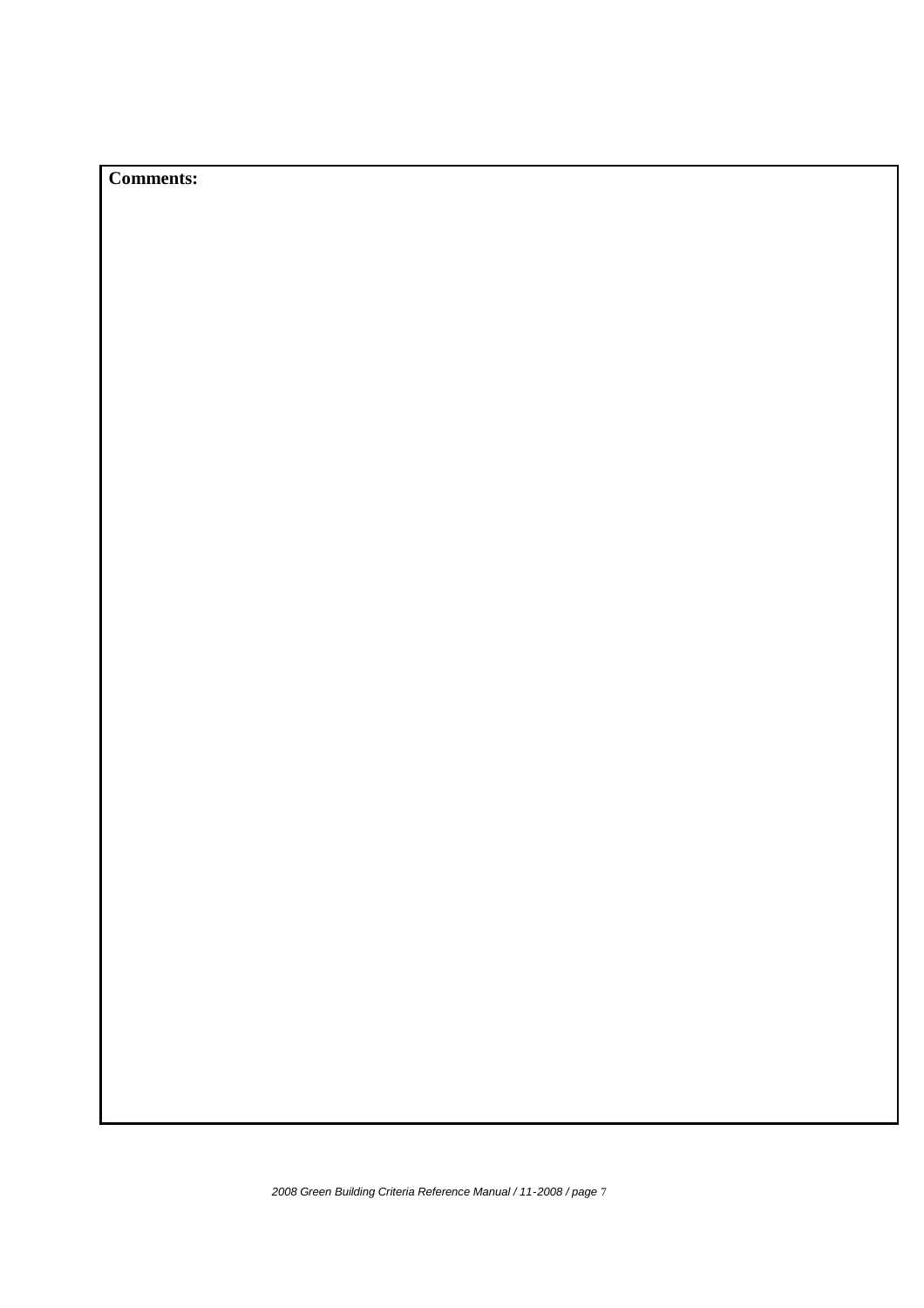## **Comments:**

*2008 Green Building Criteria Reference Manual / 11-2008 / page* 7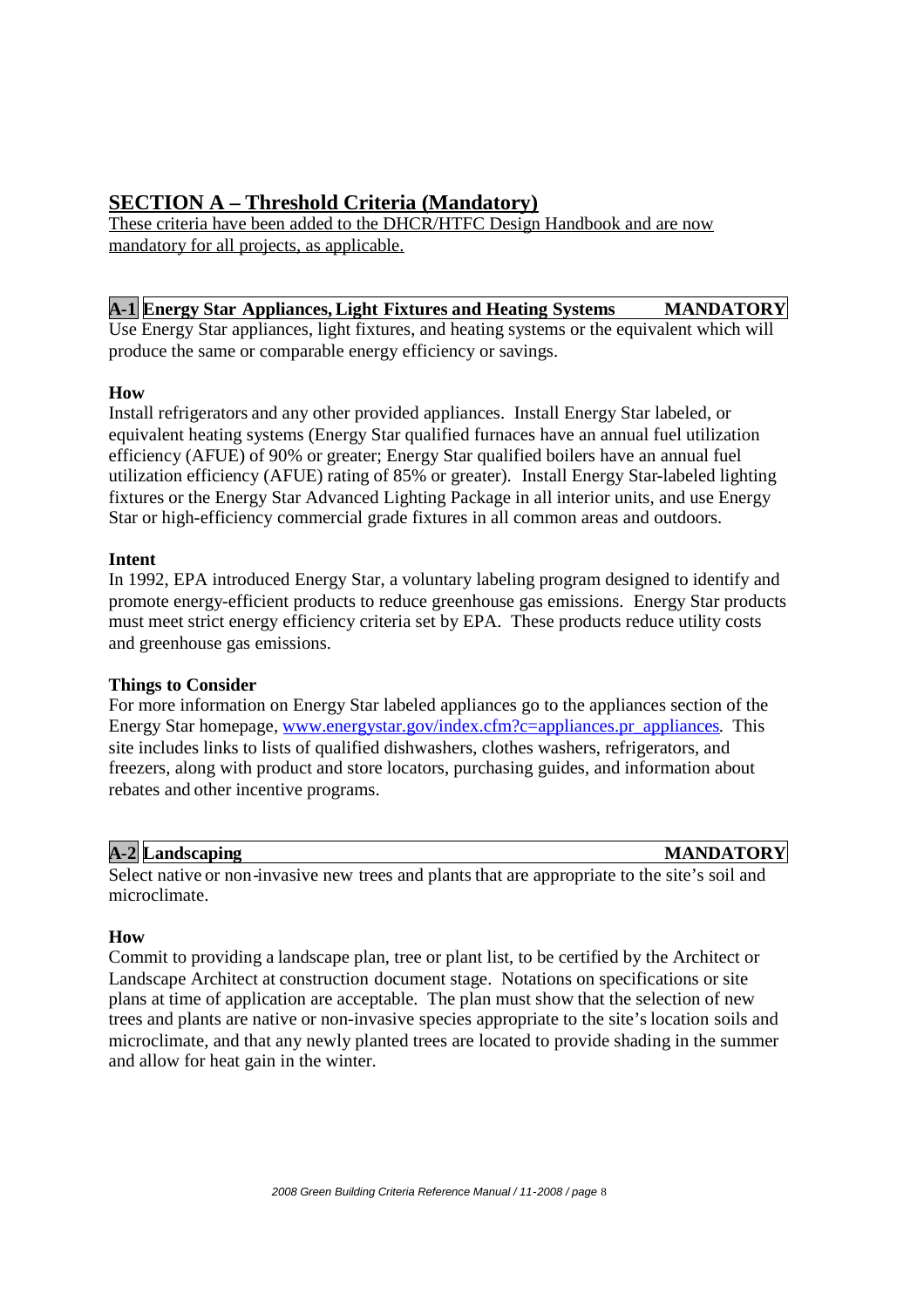## **SECTION A – Threshold Criteria (Mandatory)**

These criteria have been added to the DHCR/HTFC Design Handbook and are now mandatory for all projects, as applicable.

#### **A-1 Energy Star Appliances,Light Fixtures and Heating Systems MANDATORY**

Use Energy Star appliances, light fixtures, and heating systems or the equivalent which will produce the same or comparable energy efficiency or savings.

#### **How**

Install refrigerators and any other provided appliances. Install Energy Star labeled, or equivalent heating systems (Energy Star qualified furnaces have an annual fuel utilization efficiency (AFUE) of 90% or greater; Energy Star qualified boilers have an annual fuel utilization efficiency (AFUE) rating of 85% or greater). Install Energy Star-labeled lighting fixtures or the Energy Star Advanced Lighting Package in all interior units, and use Energy Star or high-efficiency commercial grade fixtures in all common areas and outdoors.

#### **Intent**

In 1992, EPA introduced Energy Star, a voluntary labeling program designed to identify and promote energy-efficient products to reduce greenhouse gas emissions. Energy Star products must meet strict energy efficiency criteria set by EPA. These products reduce utility costs and greenhouse gas emissions.

#### **Things to Consider**

For more information on Energy Star labeled appliances go to the appliances section of the Energy Star homepage, www.energystar.gov/index.cfm?c=appliances.pr\_appliances. This site includes links to lists of qualified dishwashers, clothes washers, refrigerators, and freezers, along with product and store locators, purchasing guides, and information about rebates and other incentive programs.

#### **A-2 Landscaping MANDATORY**

Select native or non-invasive new trees and plants that are appropriate to the site's soil and microclimate.

#### **How**

Commit to providing a landscape plan, tree or plant list, to be certified by the Architect or Landscape Architect at construction document stage. Notations on specifications or site plans at time of application are acceptable. The plan must show that the selection of new trees and plants are native or non-invasive species appropriate to the site's location soils and microclimate, and that any newly planted trees are located to provide shading in the summer and allow for heat gain in the winter.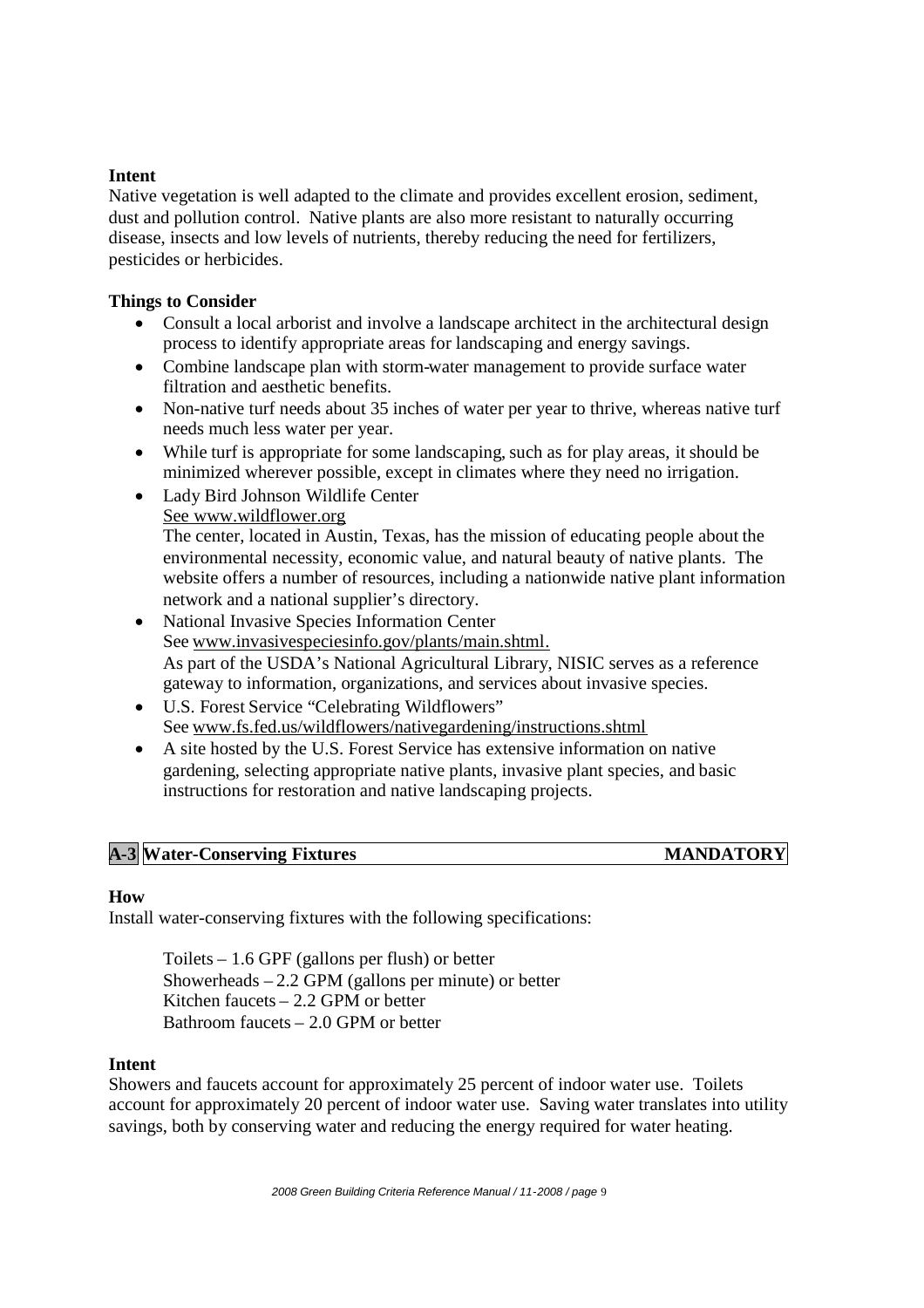#### **Intent**

Native vegetation is well adapted to the climate and provides excellent erosion, sediment, dust and pollution control. Native plants are also more resistant to naturally occurring disease, insects and low levels of nutrients, thereby reducing the need for fertilizers, pesticides or herbicides.

#### **Things to Consider**

- Consult a local arborist and involve a landscape architect in the architectural design process to identify appropriate areas for landscaping and energy savings.
- Combine landscape plan with storm-water management to provide surface water filtration and aesthetic benefits.
- Non-native turf needs about 35 inches of water per year to thrive, whereas native turf needs much less water per year.
- While turf is appropriate for some landscaping, such as for play areas, it should be minimized wherever possible, except in climates where they need no irrigation.
- Lady Bird Johnson Wildlife Center See www.wildflower.org

The center, located in Austin, Texas, has the mission of educating people about the environmental necessity, economic value, and natural beauty of native plants. The website offers a number of resources, including a nationwide native plant information network and a national supplier's directory.

- National Invasive Species Information Center See www.invasivespeciesinfo.gov/plants/main.shtml. As part of the USDA's National Agricultural Library, NISIC serves as a reference gateway to information, organizations, and services about invasive species.
- U.S. Forest Service "Celebrating Wildflowers" See www.fs.fed.us/wildflowers/nativegardening/instructions.shtml
- A site hosted by the U.S. Forest Service has extensive information on native gardening, selecting appropriate native plants, invasive plant species, and basic instructions for restoration and native landscaping projects.

## **A-3 Water-Conserving Fixtures MANDATORY**

#### **How**

Install water-conserving fixtures with the following specifications:

Toilets – 1.6 GPF (gallons per flush) or better Showerheads  $-2.2$  GPM (gallons per minute) or better Kitchen faucets – 2.2 GPM or better Bathroom faucets – 2.0 GPM or better

#### **Intent**

Showers and faucets account for approximately 25 percent of indoor water use. Toilets account for approximately 20 percent of indoor water use. Saving water translates into utility savings, both by conserving water and reducing the energy required for water heating.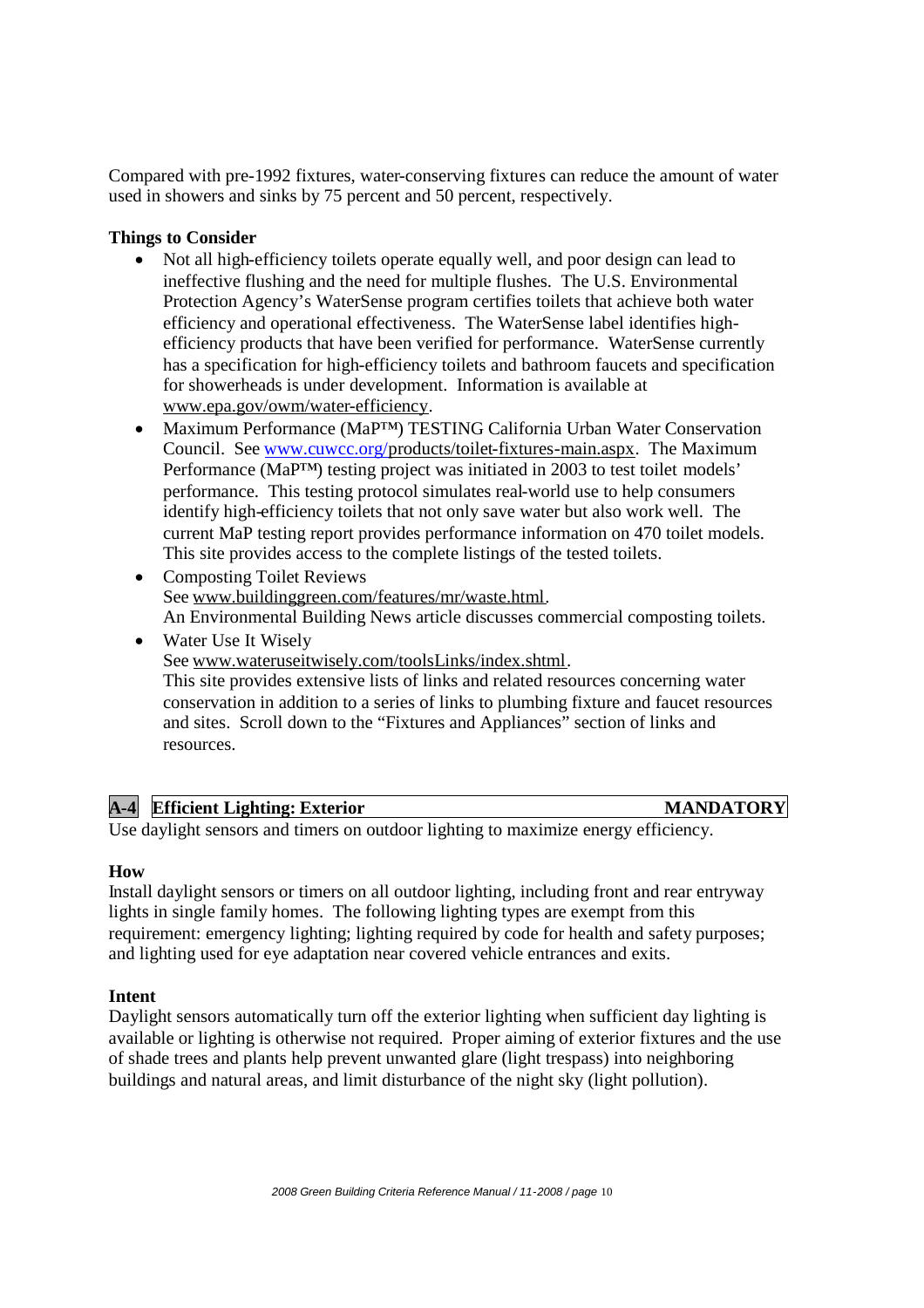Compared with pre-1992 fixtures, water-conserving fixtures can reduce the amount of water used in showers and sinks by 75 percent and 50 percent, respectively.

#### **Things to Consider**

- Not all high-efficiency toilets operate equally well, and poor design can lead to ineffective flushing and the need for multiple flushes. The U.S. Environmental Protection Agency's WaterSense program certifies toilets that achieve both water efficiency and operational effectiveness. The WaterSense label identifies highefficiency products that have been verified for performance. WaterSense currently has a specification for high-efficiency toilets and bathroom faucets and specification for showerheads is under development. Information is available at www.epa.gov/owm/water-efficiency.
- Maximum Performance (MaP™) TESTING California Urban Water Conservation Council. See www.cuwcc.org/products/toilet-fixtures-main.aspx. The Maximum Performance (MaP™) testing project was initiated in 2003 to test toilet models' performance. This testing protocol simulates real-world use to help consumers identify high-efficiency toilets that not only save water but also work well. The current MaP testing report provides performance information on 470 toilet models. This site provides access to the complete listings of the tested toilets.
- Composting Toilet Reviews See www.buildinggreen.com/features/mr/waste.html. An Environmental Building News article discusses commercial composting toilets.
- Water Use It Wisely See www.wateruseitwisely.com/toolsLinks/index.shtml. This site provides extensive lists of links and related resources concerning water conservation in addition to a series of links to plumbing fixture and faucet resources and sites. Scroll down to the "Fixtures and Appliances" section of links and resources.

**A-4 Efficient Lighting: Exterior MANDATORY**

Use daylight sensors and timers on outdoor lighting to maximize energy efficiency.

#### **How**

Install daylight sensors or timers on all outdoor lighting, including front and rear entryway lights in single family homes. The following lighting types are exempt from this requirement: emergency lighting; lighting required by code for health and safety purposes; and lighting used for eye adaptation near covered vehicle entrances and exits.

#### **Intent**

Daylight sensors automatically turn off the exterior lighting when sufficient day lighting is available or lighting is otherwise not required. Proper aiming of exterior fixtures and the use of shade trees and plants help prevent unwanted glare (light trespass) into neighboring buildings and natural areas, and limit disturbance of the night sky (light pollution).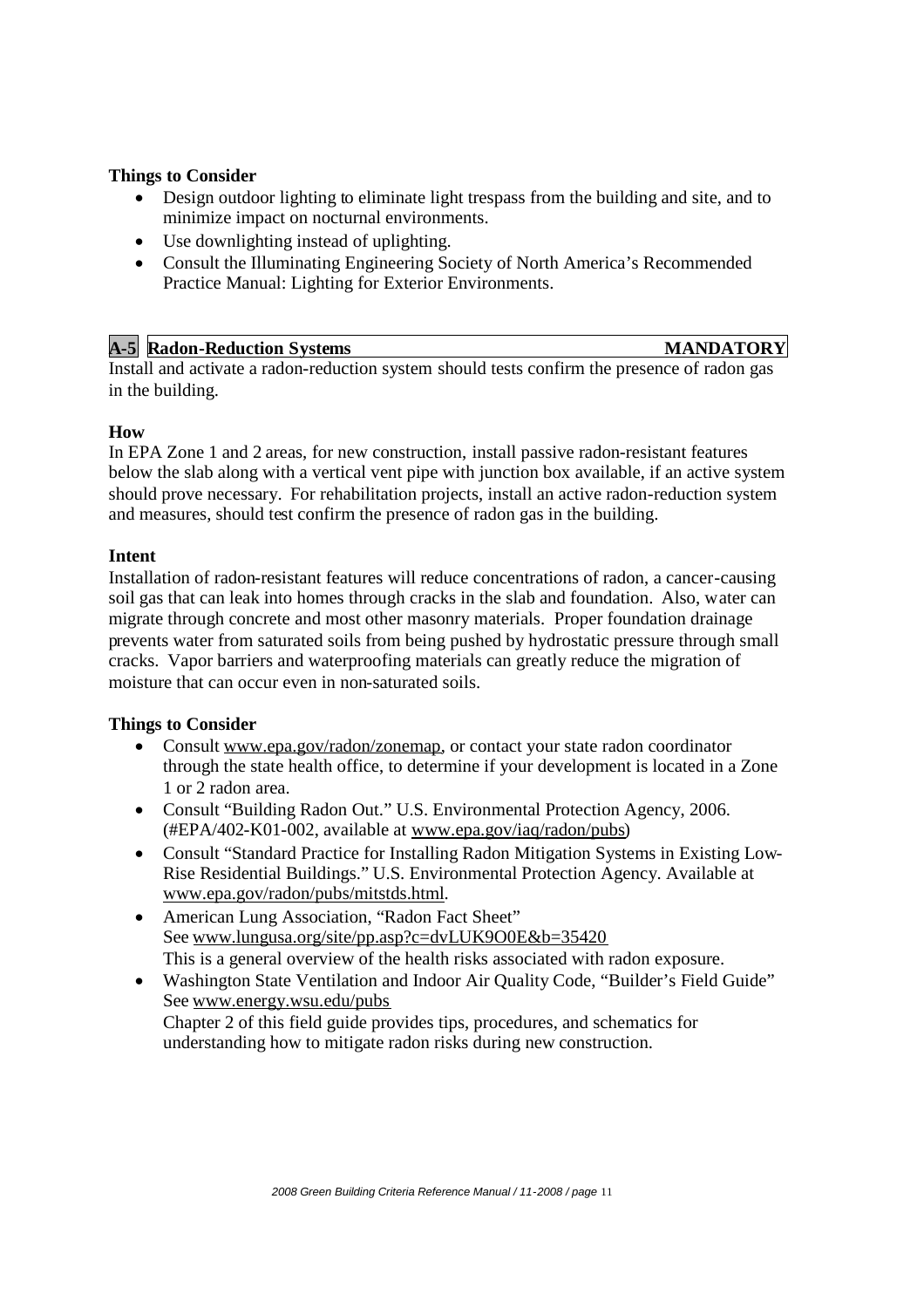#### **Things to Consider**

- Design outdoor lighting to eliminate light trespass from the building and site, and to minimize impact on nocturnal environments.
- Use downlighting instead of uplighting.
- Consult the Illuminating Engineering Society of North America's Recommended Practice Manual: Lighting for Exterior Environments.

| $A-5$ | <b>Radon-Reduction Systems</b> | <b>NDATORY</b> |
|-------|--------------------------------|----------------|
|       |                                |                |

Install and activate a radon-reduction system should tests confirm the presence of radon gas in the building.

#### **How**

In EPA Zone 1 and 2 areas, for new construction, install passive radon-resistant features below the slab along with a vertical vent pipe with junction box available, if an active system should prove necessary. For rehabilitation projects, install an active radon-reduction system and measures, should test confirm the presence of radon gas in the building.

#### **Intent**

Installation of radon-resistant features will reduce concentrations of radon, a cancer-causing soil gas that can leak into homes through cracks in the slab and foundation. Also, water can migrate through concrete and most other masonry materials. Proper foundation drainage prevents water from saturated soils from being pushed by hydrostatic pressure through small cracks. Vapor barriers and waterproofing materials can greatly reduce the migration of moisture that can occur even in non-saturated soils.

#### **Things to Consider**

- Consult www.epa.gov/radon/zonemap, or contact your state radon coordinator through the state health office, to determine if your development is located in a Zone 1 or 2 radon area.
- Consult "Building Radon Out." U.S. Environmental Protection Agency, 2006. (#EPA/402-K01-002, available at www.epa.gov/iaq/radon/pubs)
- Consult "Standard Practice for Installing Radon Mitigation Systems in Existing Low-Rise Residential Buildings." U.S. Environmental Protection Agency. Available at www.epa.gov/radon/pubs/mitstds.html.
- American Lung Association, "Radon Fact Sheet" See www.lungusa.org/site/pp.asp?c=dvLUK9O0E&b=35420 This is a general overview of the health risks associated with radon exposure.
- Washington State Ventilation and Indoor Air Quality Code, "Builder's Field Guide" See www.energy.wsu.edu/pubs

Chapter 2 of this field guide provides tips, procedures, and schematics for understanding how to mitigate radon risks during new construction.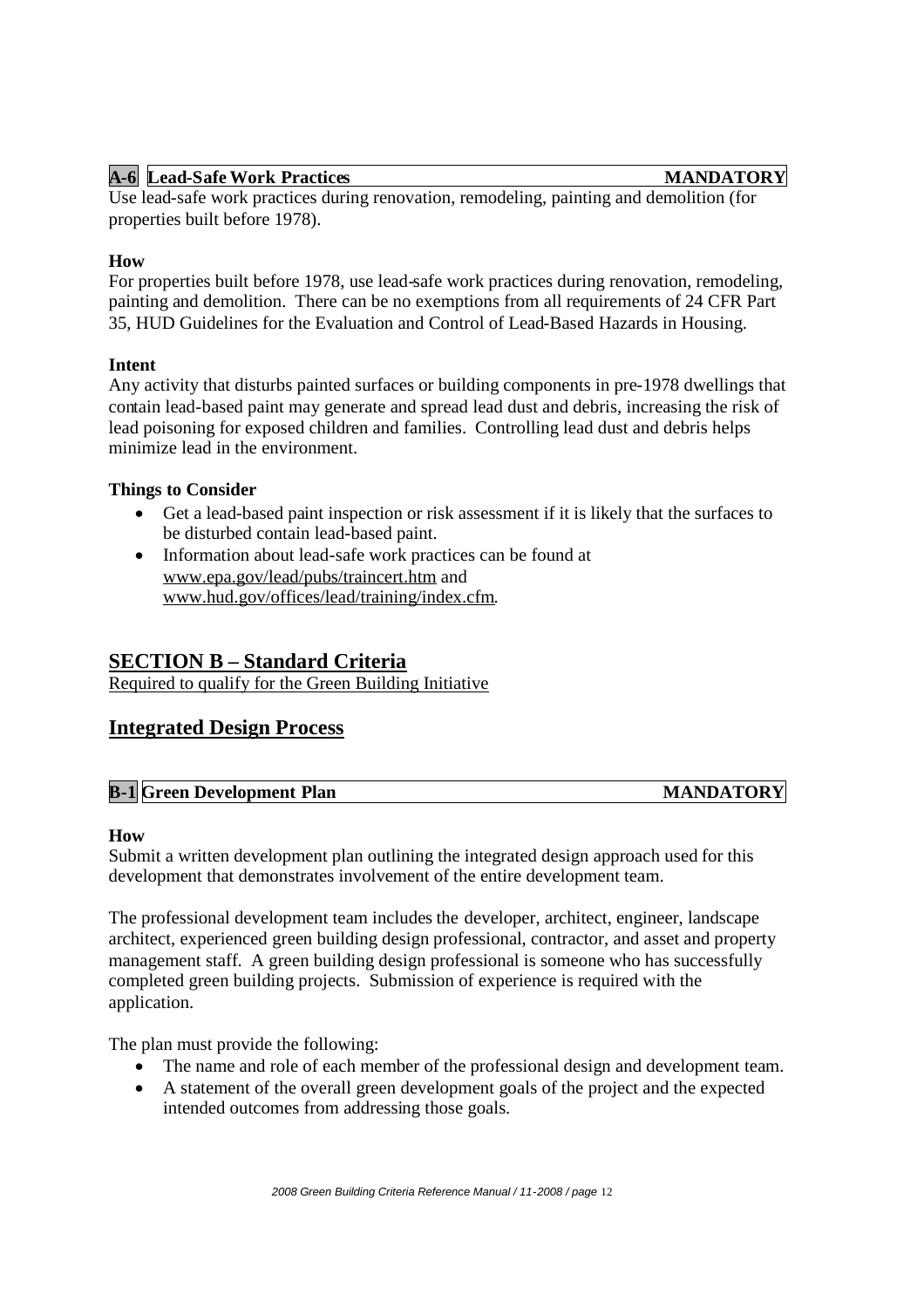#### **A-6 Lead-Safe Work Practices MANDATORY**

Use lead-safe work practices during renovation, remodeling, painting and demolition (for properties built before 1978).

#### **How**

For properties built before 1978, use lead-safe work practices during renovation, remodeling, painting and demolition. There can be no exemptions from all requirements of 24 CFR Part 35, HUD Guidelines for the Evaluation and Control of Lead-Based Hazards in Housing.

#### **Intent**

Any activity that disturbs painted surfaces or building components in pre-1978 dwellings that contain lead-based paint may generate and spread lead dust and debris, increasing the risk of lead poisoning for exposed children and families. Controlling lead dust and debris helps minimize lead in the environment.

#### **Things to Consider**

- Get a lead-based paint inspection or risk assessment if it is likely that the surfaces to be disturbed contain lead-based paint.
- Information about lead-safe work practices can be found at www.epa.gov/lead/pubs/traincert.htm and www.hud.gov/offices/lead/training/index.cfm.

## **SECTION B – Standard Criteria**

Required to qualify for the Green Building Initiative

#### **Integrated Design Process**

| <b>B-1 Green Development Plan</b><br><b>MANDATORY</b> |  |
|-------------------------------------------------------|--|
|-------------------------------------------------------|--|

#### **How**

Submit a written development plan outlining the integrated design approach used for this development that demonstrates involvement of the entire development team.

The professional development team includes the developer, architect, engineer, landscape architect, experienced green building design professional, contractor, and asset and property management staff. A green building design professional is someone who has successfully completed green building projects. Submission of experience is required with the application.

The plan must provide the following:

- The name and role of each member of the professional design and development team.
- A statement of the overall green development goals of the project and the expected intended outcomes from addressing those goals.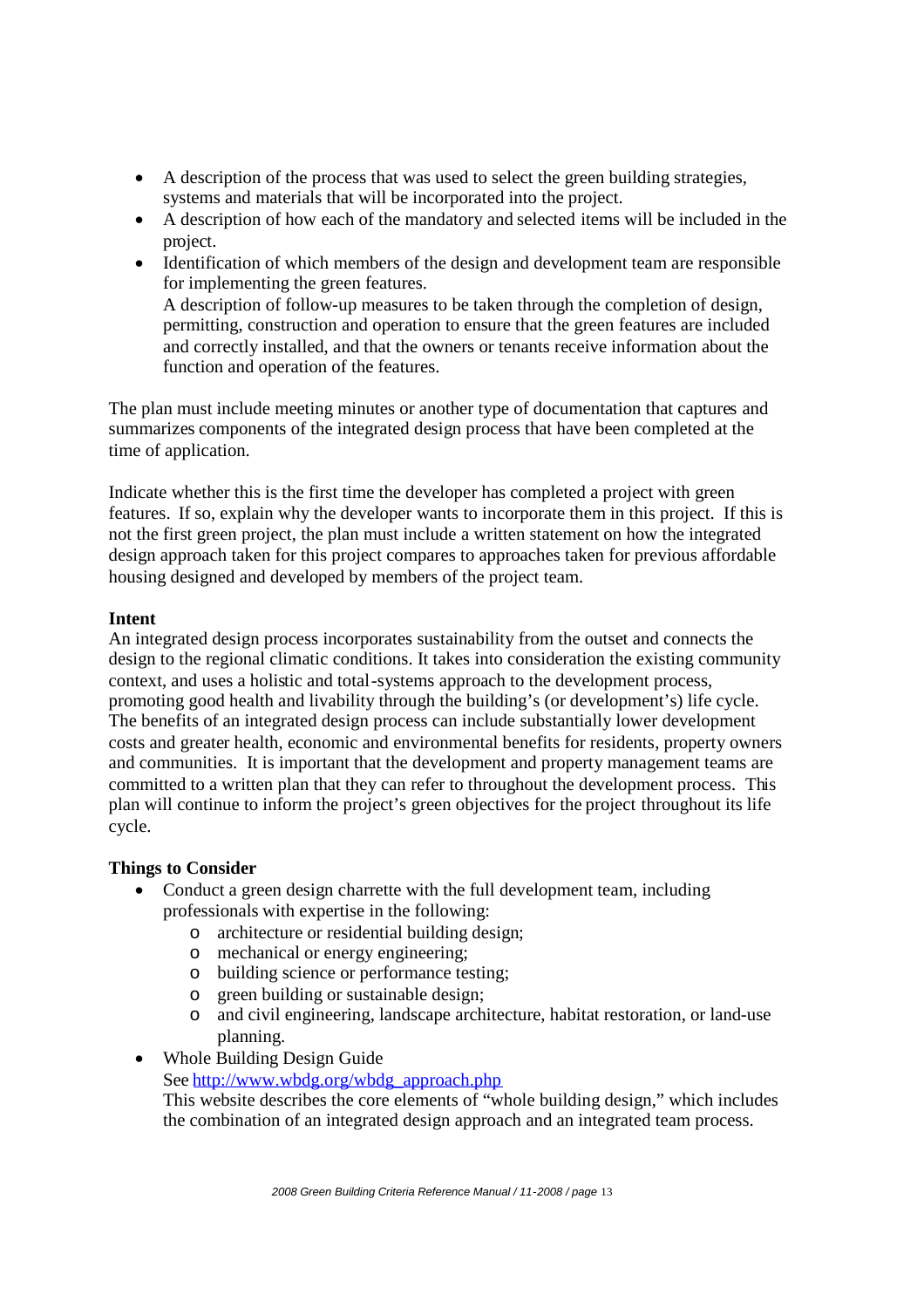- A description of the process that was used to select the green building strategies, systems and materials that will be incorporated into the project.
- A description of how each of the mandatory and selected items will be included in the project.
- Identification of which members of the design and development team are responsible for implementing the green features. A description of follow-up measures to be taken through the completion of design, permitting, construction and operation to ensure that the green features are included and correctly installed, and that the owners or tenants receive information about the function and operation of the features.

The plan must include meeting minutes or another type of documentation that captures and summarizes components of the integrated design process that have been completed at the time of application.

Indicate whether this is the first time the developer has completed a project with green features. If so, explain why the developer wants to incorporate them in this project. If this is not the first green project, the plan must include a written statement on how the integrated design approach taken for this project compares to approaches taken for previous affordable housing designed and developed by members of the project team.

#### **Intent**

An integrated design process incorporates sustainability from the outset and connects the design to the regional climatic conditions. It takes into consideration the existing community context, and uses a holistic and total-systems approach to the development process, promoting good health and livability through the building's (or development's) life cycle. The benefits of an integrated design process can include substantially lower development costs and greater health, economic and environmental benefits for residents, property owners and communities. It is important that the development and property management teams are committed to a written plan that they can refer to throughout the development process. This plan will continue to inform the project's green objectives for the project throughout its life cycle.

#### **Things to Consider**

- Conduct a green design charrette with the full development team, including professionals with expertise in the following:
	- o architecture or residential building design;
	- o mechanical or energy engineering;
	- o building science or performance testing;
	- o green building or sustainable design;
	- o and civil engineering, landscape architecture, habitat restoration, or land-use planning.
- Whole Building Design Guide

See http://www.wbdg.org/wbdg\_approach.php

This website describes the core elements of "whole building design," which includes the combination of an integrated design approach and an integrated team process.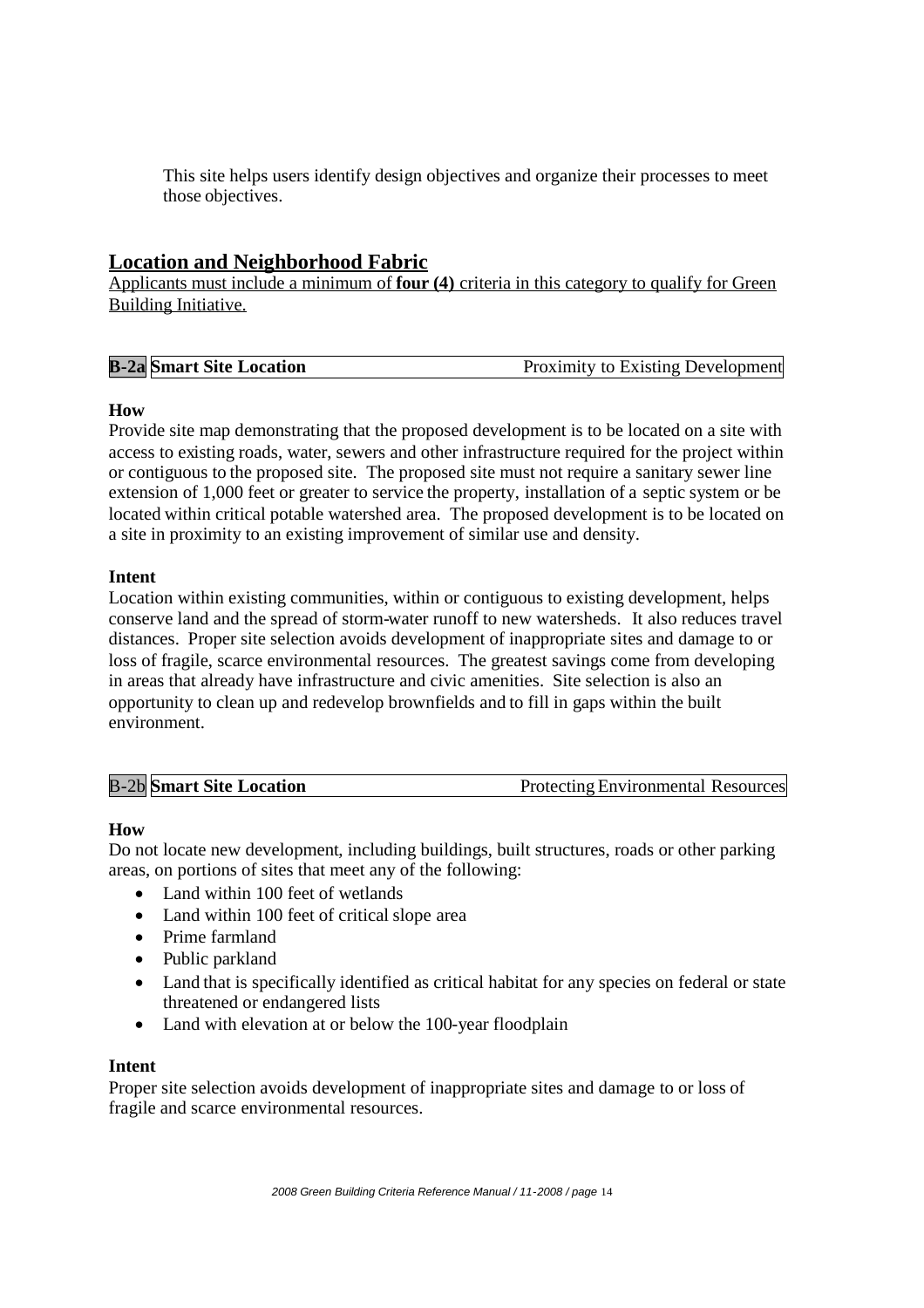This site helps users identify design objectives and organize their processes to meet those objectives.

## **Location and Neighborhood Fabric**

Applicants must include a minimum of **four (4)** criteria in this category to qualify for Green Building Initiative.

#### **How**

Provide site map demonstrating that the proposed development is to be located on a site with access to existing roads, water, sewers and other infrastructure required for the project within or contiguous to the proposed site. The proposed site must not require a sanitary sewer line extension of 1,000 feet or greater to service the property, installation of a septic system or be located within critical potable watershed area. The proposed development is to be located on a site in proximity to an existing improvement of similar use and density.

#### **Intent**

Location within existing communities, within or contiguous to existing development, helps conserve land and the spread of storm-water runoff to new watersheds. It also reduces travel distances. Proper site selection avoids development of inappropriate sites and damage to or loss of fragile, scarce environmental resources. The greatest savings come from developing in areas that already have infrastructure and civic amenities. Site selection is also an opportunity to clean up and redevelop brownfields and to fill in gaps within the built environment.

#### **How**

Do not locate new development, including buildings, built structures, roads or other parking areas, on portions of sites that meet any of the following:

- Land within 100 feet of wetlands
- Land within 100 feet of critical slope area
- Prime farmland
- Public parkland
- Land that is specifically identified as critical habitat for any species on federal or state threatened or endangered lists
- Land with elevation at or below the 100-year floodplain

#### **Intent**

Proper site selection avoids development of inappropriate sites and damage to or loss of fragile and scarce environmental resources.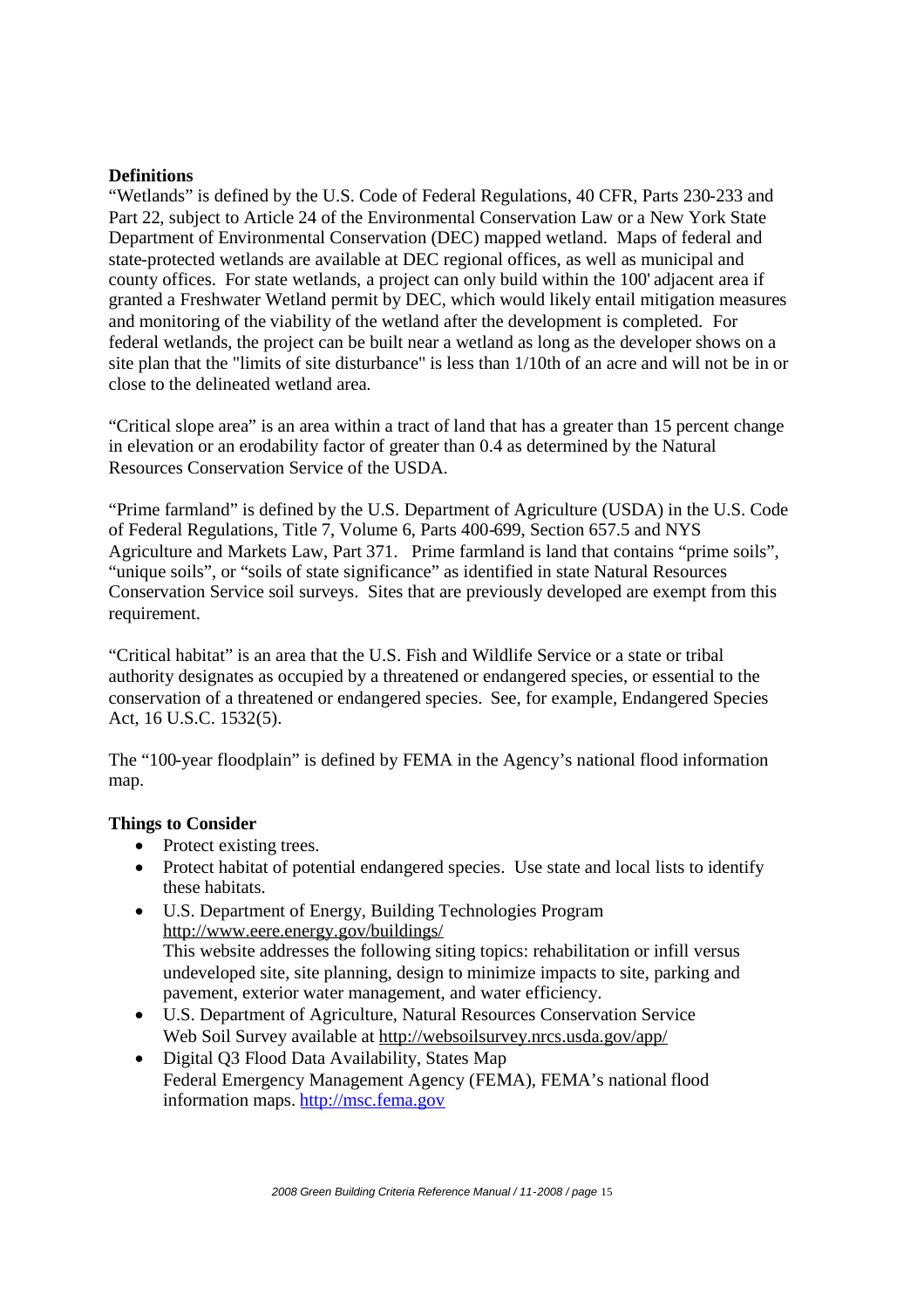#### **Definitions**

"Wetlands" is defined by the U.S. Code of Federal Regulations, 40 CFR, Parts 230-233 and Part 22, subject to Article 24 of the Environmental Conservation Law or a New York State Department of Environmental Conservation (DEC) mapped wetland. Maps of federal and state-protected wetlands are available at DEC regional offices, as well as municipal and county offices. For state wetlands, a project can only build within the 100' adjacent area if granted a Freshwater Wetland permit by DEC, which would likely entail mitigation measures and monitoring of the viability of the wetland after the development is completed. For federal wetlands, the project can be built near a wetland as long as the developer shows on a site plan that the "limits of site disturbance" is less than 1/10th of an acre and will not be in or close to the delineated wetland area.

"Critical slope area" is an area within a tract of land that has a greater than 15 percent change in elevation or an erodability factor of greater than 0.4 as determined by the Natural Resources Conservation Service of the USDA.

"Prime farmland" is defined by the U.S. Department of Agriculture (USDA) in the U.S. Code of Federal Regulations, Title 7, Volume 6, Parts 400-699, Section 657.5 and NYS Agriculture and Markets Law, Part 371. Prime farmland is land that contains "prime soils", "unique soils", or "soils of state significance" as identified in state Natural Resources Conservation Service soil surveys. Sites that are previously developed are exempt from this requirement.

"Critical habitat" is an area that the U.S. Fish and Wildlife Service or a state or tribal authority designates as occupied by a threatened or endangered species, or essential to the conservation of a threatened or endangered species. See, for example, Endangered Species Act, 16 U.S.C. 1532(5).

The "100-year floodplain" is defined by FEMA in the Agency's national flood information map.

#### **Things to Consider**

- Protect existing trees.
- Protect habitat of potential endangered species. Use state and local lists to identify these habitats.
- U.S. Department of Energy, Building Technologies Program http://www.eere.energy.gov/buildings/ This website addresses the following siting topics: rehabilitation or infill versus undeveloped site, site planning, design to minimize impacts to site, parking and pavement, exterior water management, and water efficiency.
- U.S. Department of Agriculture, Natural Resources Conservation Service Web Soil Survey available at http://websoilsurvey.nrcs.usda.gov/app/
- Digital Q3 Flood Data Availability, States Map Federal Emergency Management Agency (FEMA), FEMA's national flood information maps. http://msc.fema.gov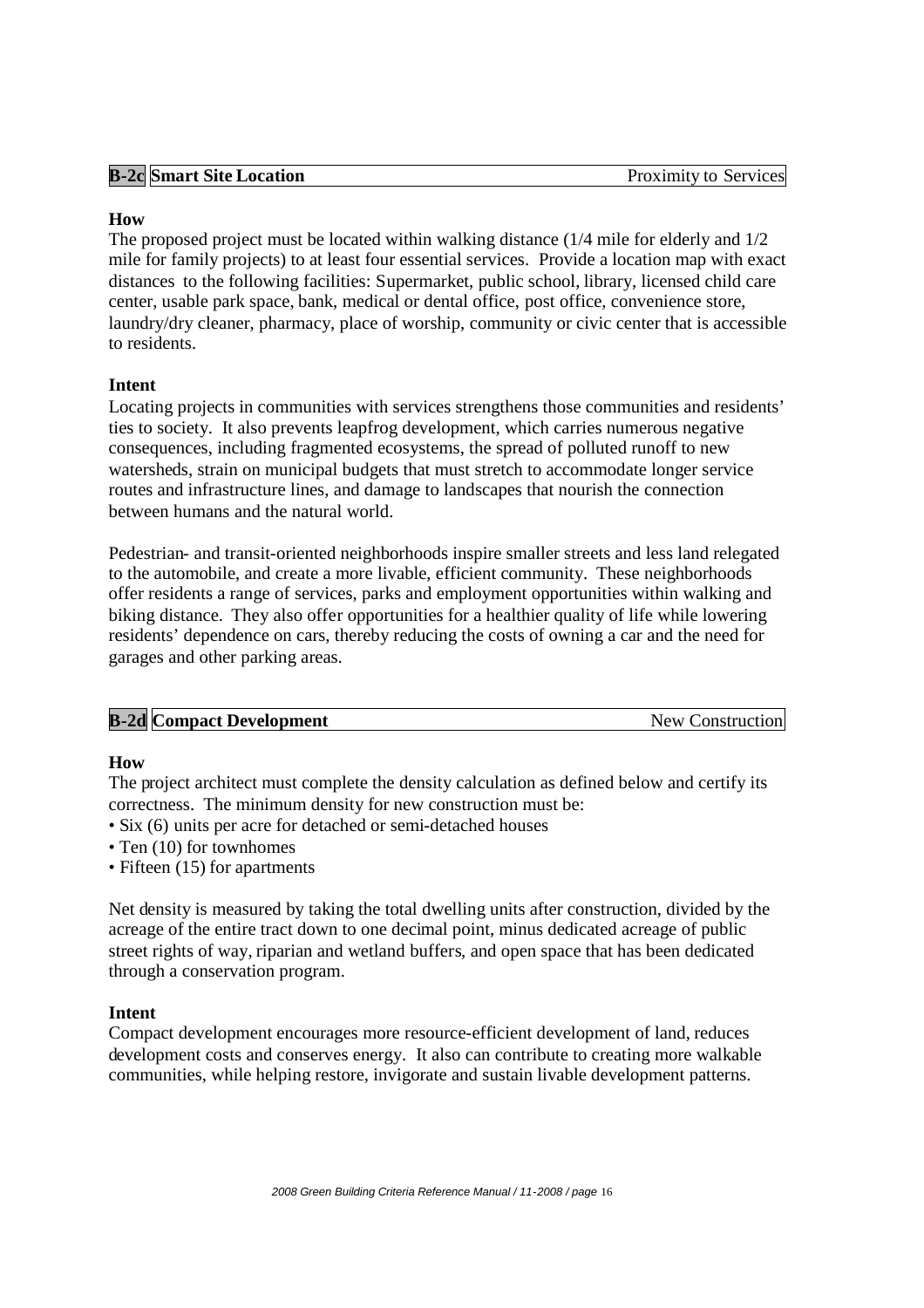|  | <b>B-2c Smart Site Location</b> | Proximity to Services |
|--|---------------------------------|-----------------------|

#### **How**

The proposed project must be located within walking distance (1/4 mile for elderly and 1/2 mile for family projects) to at least four essential services. Provide a location map with exact distances to the following facilities: Supermarket, public school, library, licensed child care center, usable park space, bank, medical or dental office, post office, convenience store, laundry/dry cleaner, pharmacy, place of worship, community or civic center that is accessible to residents.

#### **Intent**

Locating projects in communities with services strengthens those communities and residents' ties to society. It also prevents leapfrog development, which carries numerous negative consequences, including fragmented ecosystems, the spread of polluted runoff to new watersheds, strain on municipal budgets that must stretch to accommodate longer service routes and infrastructure lines, and damage to landscapes that nourish the connection between humans and the natural world.

Pedestrian- and transit-oriented neighborhoods inspire smaller streets and less land relegated to the automobile, and create a more livable, efficient community. These neighborhoods offer residents a range of services, parks and employment opportunities within walking and biking distance. They also offer opportunities for a healthier quality of life while lowering residents' dependence on cars, thereby reducing the costs of owning a car and the need for garages and other parking areas.

| <b>B-2d Compact Development</b> | New Construction |
|---------------------------------|------------------|
|                                 |                  |

#### **How**

The project architect must complete the density calculation as defined below and certify its correctness. The minimum density for new construction must be:

- Six (6) units per acre for detached or semi-detached houses
- Ten (10) for townhomes
- Fifteen (15) for apartments

Net density is measured by taking the total dwelling units after construction, divided by the acreage of the entire tract down to one decimal point, minus dedicated acreage of public street rights of way, riparian and wetland buffers, and open space that has been dedicated through a conservation program.

#### **Intent**

Compact development encourages more resource-efficient development of land, reduces development costs and conserves energy. It also can contribute to creating more walkable communities, while helping restore, invigorate and sustain livable development patterns.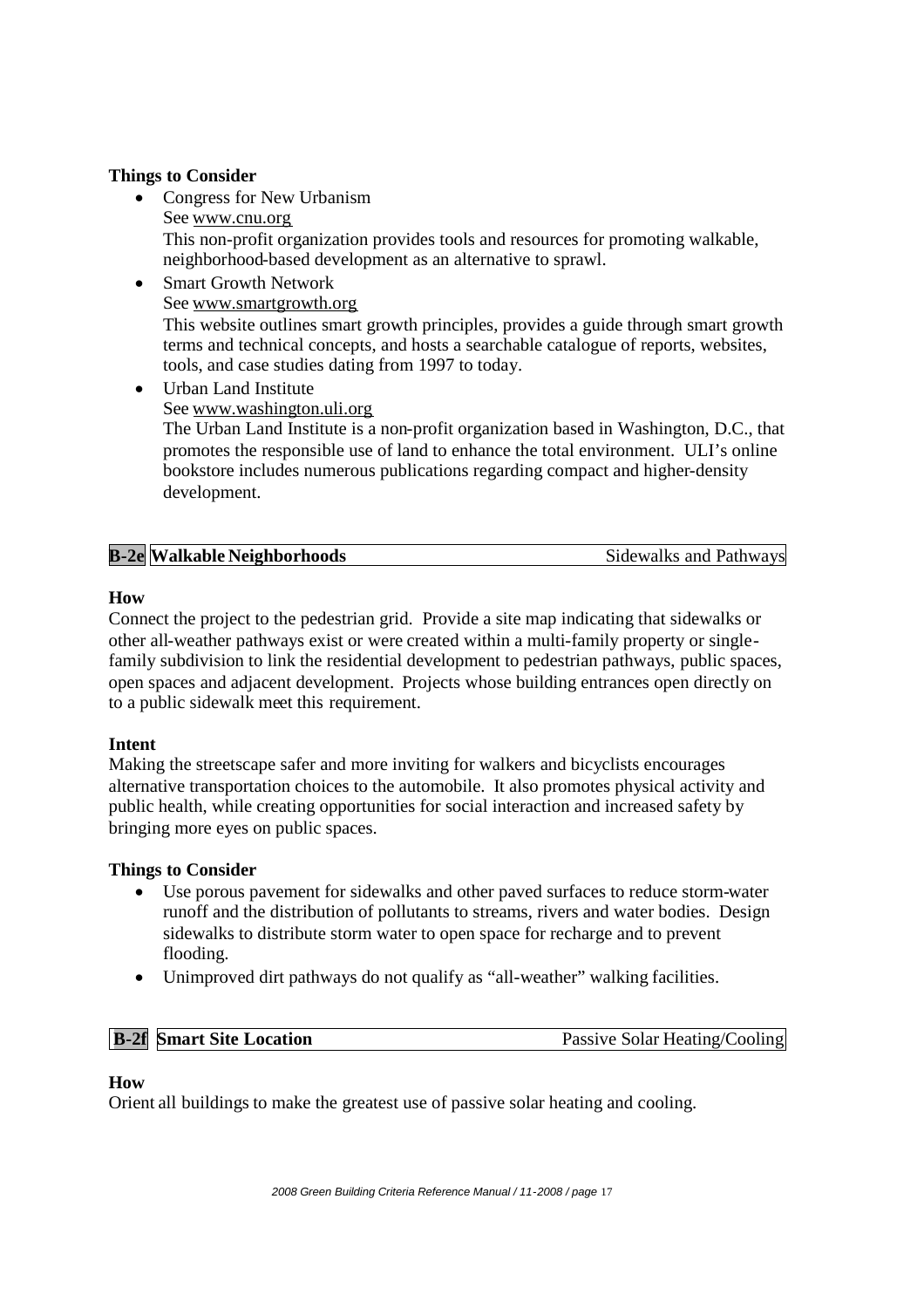#### **Things to Consider**

- Congress for New Urbanism See www.cnu.org This non-profit organization provides tools and resources for promoting walkable, neighborhood-based development as an alternative to sprawl.
- Smart Growth Network See www.smartgrowth.org This website outlines smart growth principles, provides a guide through smart growth terms and technical concepts, and hosts a searchable catalogue of reports, websites, tools, and case studies dating from 1997 to today.
- Urban Land Institute See www.washington.uli.org The Urban Land Institute is a non-profit organization based in Washington, D.C., that promotes the responsible use of land to enhance the total environment. ULI's online bookstore includes numerous publications regarding compact and higher-density development.

| <b>B-2e</b> Walkable Neighborhoods<br>Sidewalks and Pathways |
|--------------------------------------------------------------|
|--------------------------------------------------------------|

#### **How**

Connect the project to the pedestrian grid. Provide a site map indicating that sidewalks or other all-weather pathways exist or were created within a multi-family property or singlefamily subdivision to link the residential development to pedestrian pathways, public spaces, open spaces and adjacent development. Projects whose building entrances open directly on to a public sidewalk meet this requirement.

#### **Intent**

Making the streetscape safer and more inviting for walkers and bicyclists encourages alternative transportation choices to the automobile. It also promotes physical activity and public health, while creating opportunities for social interaction and increased safety by bringing more eyes on public spaces.

#### **Things to Consider**

- Use porous pavement for sidewalks and other paved surfaces to reduce storm-water runoff and the distribution of pollutants to streams, rivers and water bodies. Design sidewalks to distribute storm water to open space for recharge and to prevent flooding.
- Unimproved dirt pathways do not qualify as "all-weather" walking facilities.

**B-2f Smart Site Location** Passive Solar Heating/Cooling

#### **How**

Orient all buildings to make the greatest use of passive solar heating and cooling.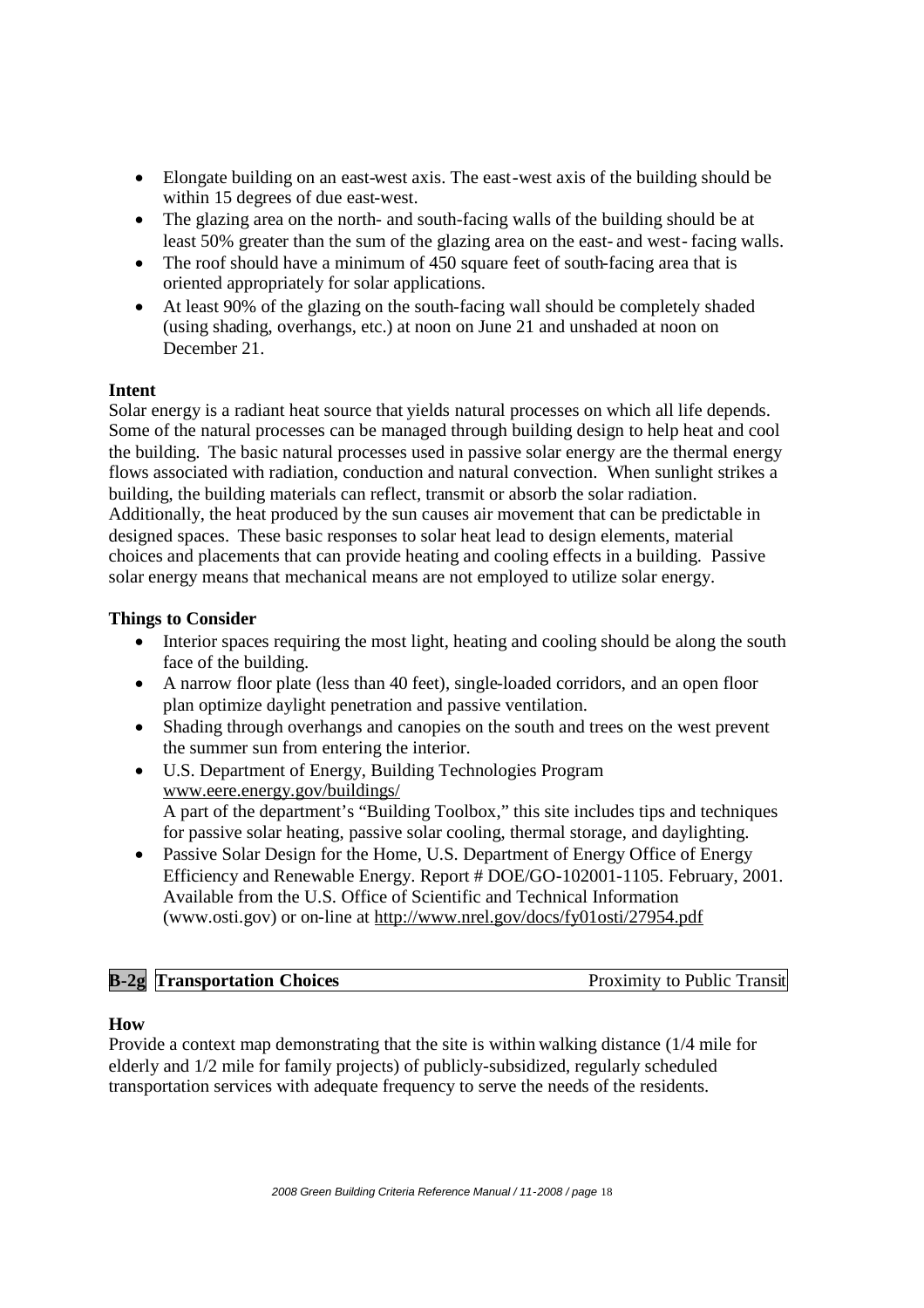- Elongate building on an east-west axis. The east-west axis of the building should be within 15 degrees of due east-west.
- The glazing area on the north- and south-facing walls of the building should be at least 50% greater than the sum of the glazing area on the east- and west- facing walls.
- The roof should have a minimum of 450 square feet of south-facing area that is oriented appropriately for solar applications.
- At least 90% of the glazing on the south-facing wall should be completely shaded (using shading, overhangs, etc.) at noon on June 21 and unshaded at noon on December 21.

#### **Intent**

Solar energy is a radiant heat source that yields natural processes on which all life depends. Some of the natural processes can be managed through building design to help heat and cool the building. The basic natural processes used in passive solar energy are the thermal energy flows associated with radiation, conduction and natural convection. When sunlight strikes a building, the building materials can reflect, transmit or absorb the solar radiation. Additionally, the heat produced by the sun causes air movement that can be predictable in designed spaces. These basic responses to solar heat lead to design elements, material choices and placements that can provide heating and cooling effects in a building. Passive solar energy means that mechanical means are not employed to utilize solar energy.

#### **Things to Consider**

- Interior spaces requiring the most light, heating and cooling should be along the south face of the building.
- A narrow floor plate (less than 40 feet), single-loaded corridors, and an open floor plan optimize daylight penetration and passive ventilation.
- Shading through overhangs and canopies on the south and trees on the west prevent the summer sun from entering the interior.
- U.S. Department of Energy, Building Technologies Program www.eere.energy.gov/buildings/ A part of the department's "Building Toolbox," this site includes tips and techniques for passive solar heating, passive solar cooling, thermal storage, and daylighting.
- Passive Solar Design for the Home, U.S. Department of Energy Office of Energy Efficiency and Renewable Energy. Report # DOE/GO-102001-1105. February, 2001. Available from the U.S. Office of Scientific and Technical Information (www.osti.gov) or on-line at http://www.nrel.gov/docs/fy01osti/27954.pdf

| $B-2g$<br><b>Transportation Choices</b> | Proximity to Public Transit |
|-----------------------------------------|-----------------------------|
|                                         |                             |

#### **How**

Provide a context map demonstrating that the site is within walking distance (1/4 mile for elderly and 1/2 mile for family projects) of publicly-subsidized, regularly scheduled transportation services with adequate frequency to serve the needs of the residents.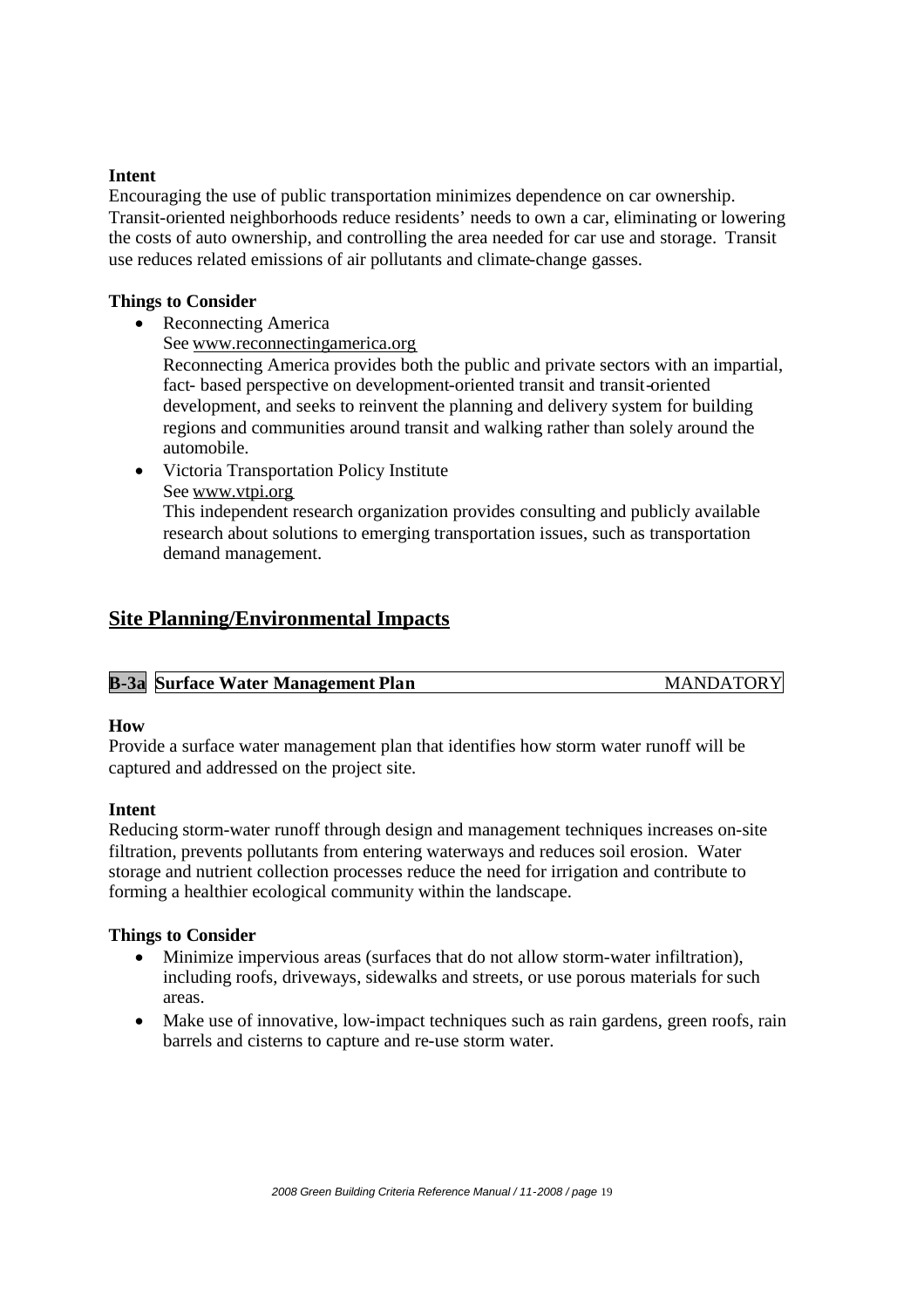#### **Intent**

Encouraging the use of public transportation minimizes dependence on car ownership. Transit-oriented neighborhoods reduce residents' needs to own a car, eliminating or lowering the costs of auto ownership, and controlling the area needed for car use and storage. Transit use reduces related emissions of air pollutants and climate-change gasses.

#### **Things to Consider**

- Reconnecting America
	- See www.reconnectingamerica.org

Reconnecting America provides both the public and private sectors with an impartial, fact- based perspective on development-oriented transit and transit-oriented development, and seeks to reinvent the planning and delivery system for building regions and communities around transit and walking rather than solely around the automobile.

 Victoria Transportation Policy Institute See www.vtpi.org

This independent research organization provides consulting and publicly available research about solutions to emerging transportation issues, such as transportation demand management.

## **Site Planning/Environmental Impacts**

| <b>B-3a</b> Surface Water Management Plan | <b>MANDATORY</b> |
|-------------------------------------------|------------------|

#### **How**

Provide a surface water management plan that identifies how storm water runoff will be captured and addressed on the project site.

#### **Intent**

Reducing storm-water runoff through design and management techniques increases on-site filtration, prevents pollutants from entering waterways and reduces soil erosion. Water storage and nutrient collection processes reduce the need for irrigation and contribute to forming a healthier ecological community within the landscape.

#### **Things to Consider**

- Minimize impervious areas (surfaces that do not allow storm-water infiltration), including roofs, driveways, sidewalks and streets, or use porous materials for such areas.
- Make use of innovative, low-impact techniques such as rain gardens, green roofs, rain barrels and cisterns to capture and re-use storm water.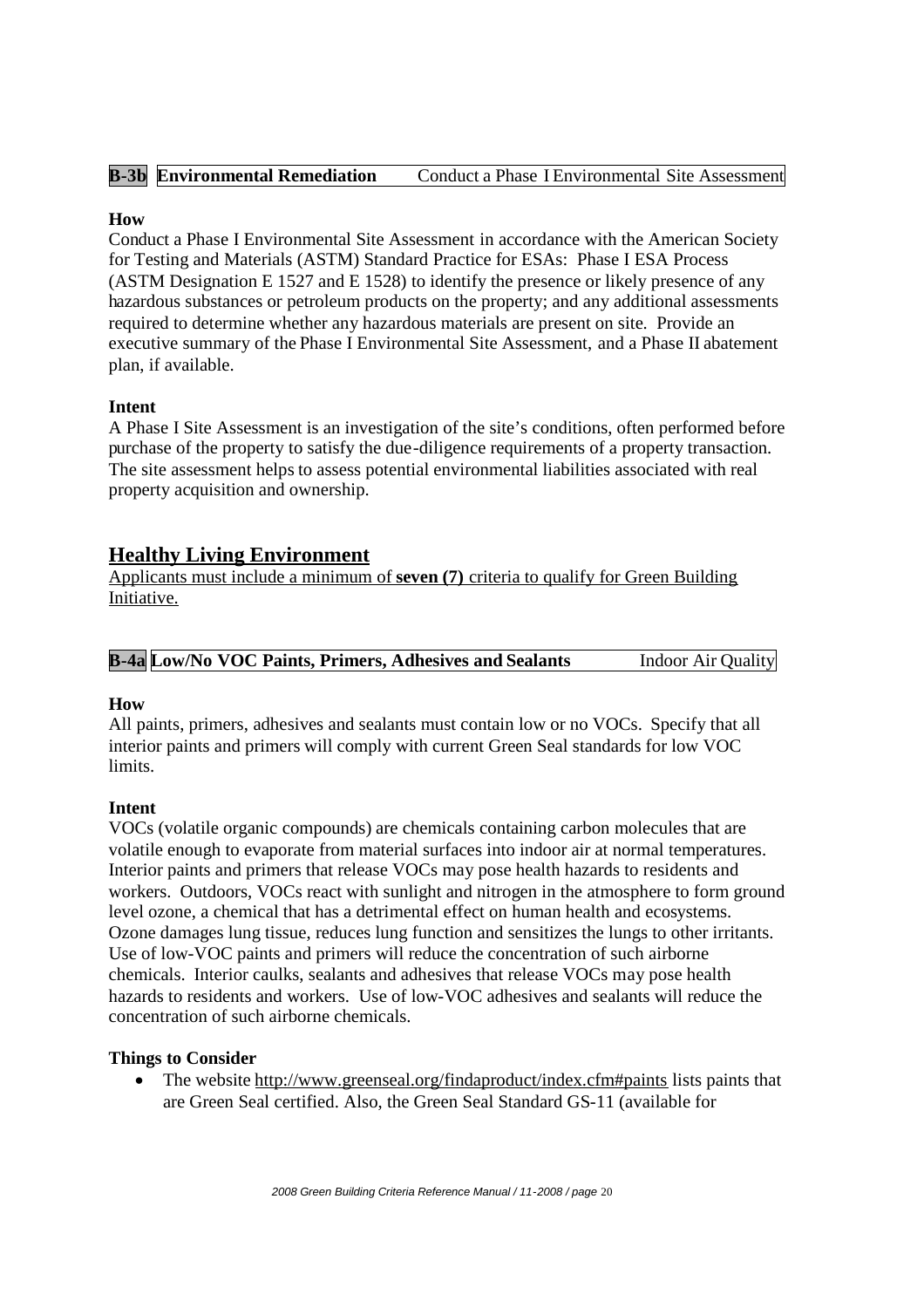| <b>B-3b</b> Environmental Remediation<br>Conduct a Phase I Environmental Site Assessment |
|------------------------------------------------------------------------------------------|
|------------------------------------------------------------------------------------------|

#### **How**

Conduct a Phase I Environmental Site Assessment in accordance with the American Society for Testing and Materials (ASTM) Standard Practice for ESAs: Phase I ESA Process (ASTM Designation E 1527 and E 1528) to identify the presence or likely presence of any hazardous substances or petroleum products on the property; and any additional assessments required to determine whether any hazardous materials are present on site. Provide an executive summary of the Phase I Environmental Site Assessment, and a Phase II abatement plan, if available.

#### **Intent**

A Phase I Site Assessment is an investigation of the site's conditions, often performed before purchase of the property to satisfy the due-diligence requirements of a property transaction. The site assessment helps to assess potential environmental liabilities associated with real property acquisition and ownership.

## **Healthy Living Environment**

Applicants must include a minimum of **seven (7)** criteria to qualify for Green Building Initiative.

|  |  |  |  | <b>B-4a Low/No VOC Paints, Primers, Adhesives and Sealants</b> | <b>Indoor Air Quality</b> |  |
|--|--|--|--|----------------------------------------------------------------|---------------------------|--|
|--|--|--|--|----------------------------------------------------------------|---------------------------|--|

#### **How**

All paints, primers, adhesives and sealants must contain low or no VOCs. Specify that all interior paints and primers will comply with current Green Seal standards for low VOC limits.

#### **Intent**

VOCs (volatile organic compounds) are chemicals containing carbon molecules that are volatile enough to evaporate from material surfaces into indoor air at normal temperatures. Interior paints and primers that release VOCs may pose health hazards to residents and workers. Outdoors, VOCs react with sunlight and nitrogen in the atmosphere to form ground level ozone, a chemical that has a detrimental effect on human health and ecosystems. Ozone damages lung tissue, reduces lung function and sensitizes the lungs to other irritants. Use of low-VOC paints and primers will reduce the concentration of such airborne chemicals. Interior caulks, sealants and adhesives that release VOCs may pose health hazards to residents and workers. Use of low-VOC adhesives and sealants will reduce the concentration of such airborne chemicals.

#### **Things to Consider**

 The website http://www.greenseal.org/findaproduct/index.cfm#paints lists paints that are Green Seal certified. Also, the Green Seal Standard GS-11 (available for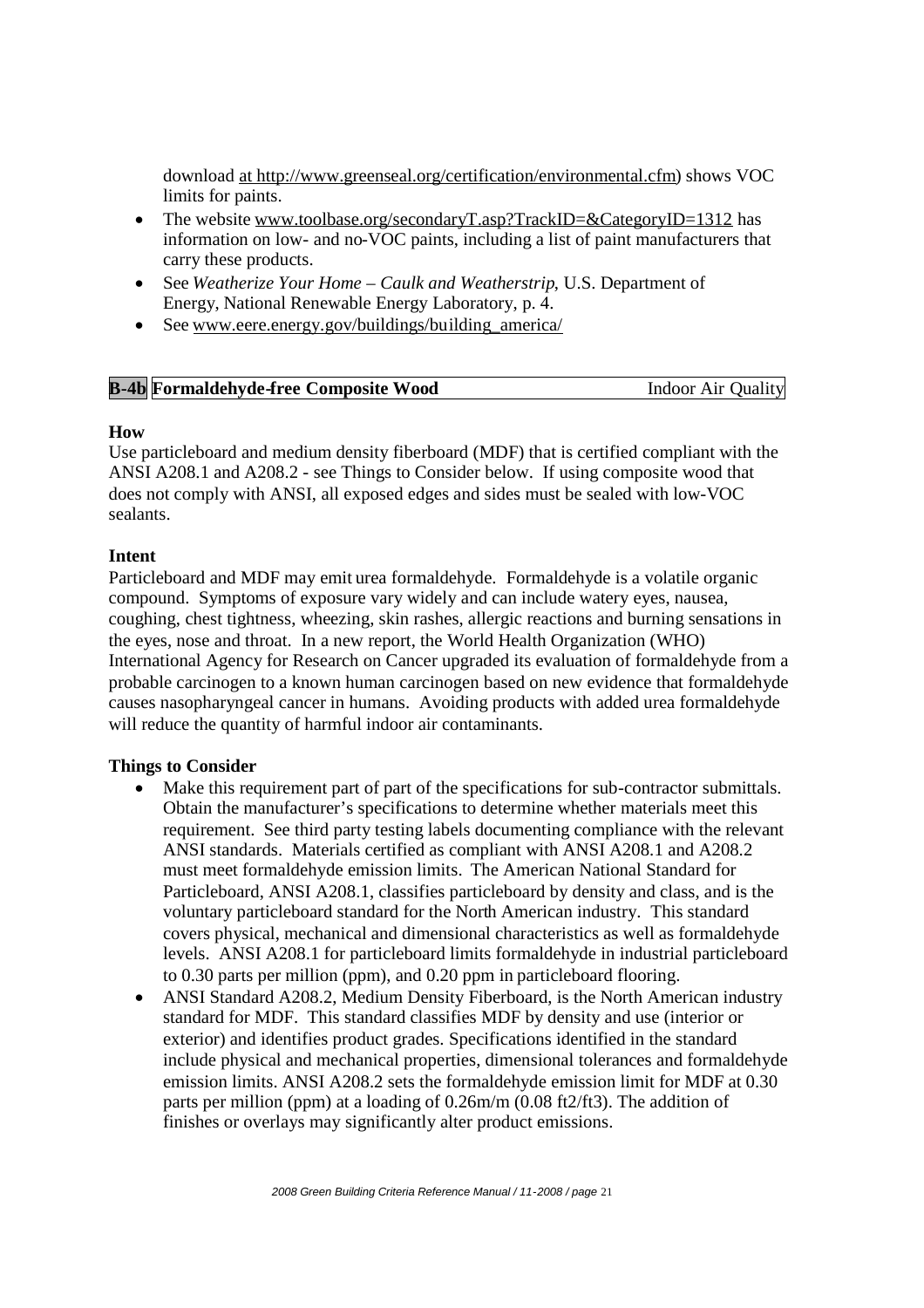download at http://www.greenseal.org/certification/environmental.cfm) shows VOC limits for paints.

- The website www.toolbase.org/secondaryT.asp?TrackID=&CategoryID=1312 has information on low- and no-VOC paints, including a list of paint manufacturers that carry these products.
- See *Weatherize Your Home – Caulk and Weatherstrip*, U.S. Department of Energy, National Renewable Energy Laboratory, p. 4.
- See www.eere.energy.gov/buildings/building america/

| <b>B-4b</b> Formaldehyde-free Composite Wood | <b>Indoor Air Quality</b> |
|----------------------------------------------|---------------------------|
|                                              |                           |

#### **How**

Use particleboard and medium density fiberboard (MDF) that is certified compliant with the ANSI A208.1 and A208.2 - see Things to Consider below. If using composite wood that does not comply with ANSI, all exposed edges and sides must be sealed with low-VOC sealants.

#### **Intent**

Particleboard and MDF may emit urea formaldehyde. Formaldehyde is a volatile organic compound. Symptoms of exposure vary widely and can include watery eyes, nausea, coughing, chest tightness, wheezing, skin rashes, allergic reactions and burning sensations in the eyes, nose and throat. In a new report, the World Health Organization (WHO) International Agency for Research on Cancer upgraded its evaluation of formaldehyde from a probable carcinogen to a known human carcinogen based on new evidence that formaldehyde causes nasopharyngeal cancer in humans. Avoiding products with added urea formaldehyde will reduce the quantity of harmful indoor air contaminants.

#### **Things to Consider**

- Make this requirement part of part of the specifications for sub-contractor submittals. Obtain the manufacturer's specifications to determine whether materials meet this requirement. See third party testing labels documenting compliance with the relevant ANSI standards. Materials certified as compliant with ANSI A208.1 and A208.2 must meet formaldehyde emission limits. The American National Standard for Particleboard, ANSI A208.1, classifies particleboard by density and class, and is the voluntary particleboard standard for the North American industry. This standard covers physical, mechanical and dimensional characteristics as well as formaldehyde levels. ANSI A208.1 for particleboard limits formaldehyde in industrial particleboard to 0.30 parts per million (ppm), and 0.20 ppm in particleboard flooring.
- ANSI Standard A208.2, Medium Density Fiberboard, is the North American industry standard for MDF. This standard classifies MDF by density and use (interior or exterior) and identifies product grades. Specifications identified in the standard include physical and mechanical properties, dimensional tolerances and formaldehyde emission limits. ANSI A208.2 sets the formaldehyde emission limit for MDF at 0.30 parts per million (ppm) at a loading of 0.26m/m (0.08 ft2/ft3). The addition of finishes or overlays may significantly alter product emissions.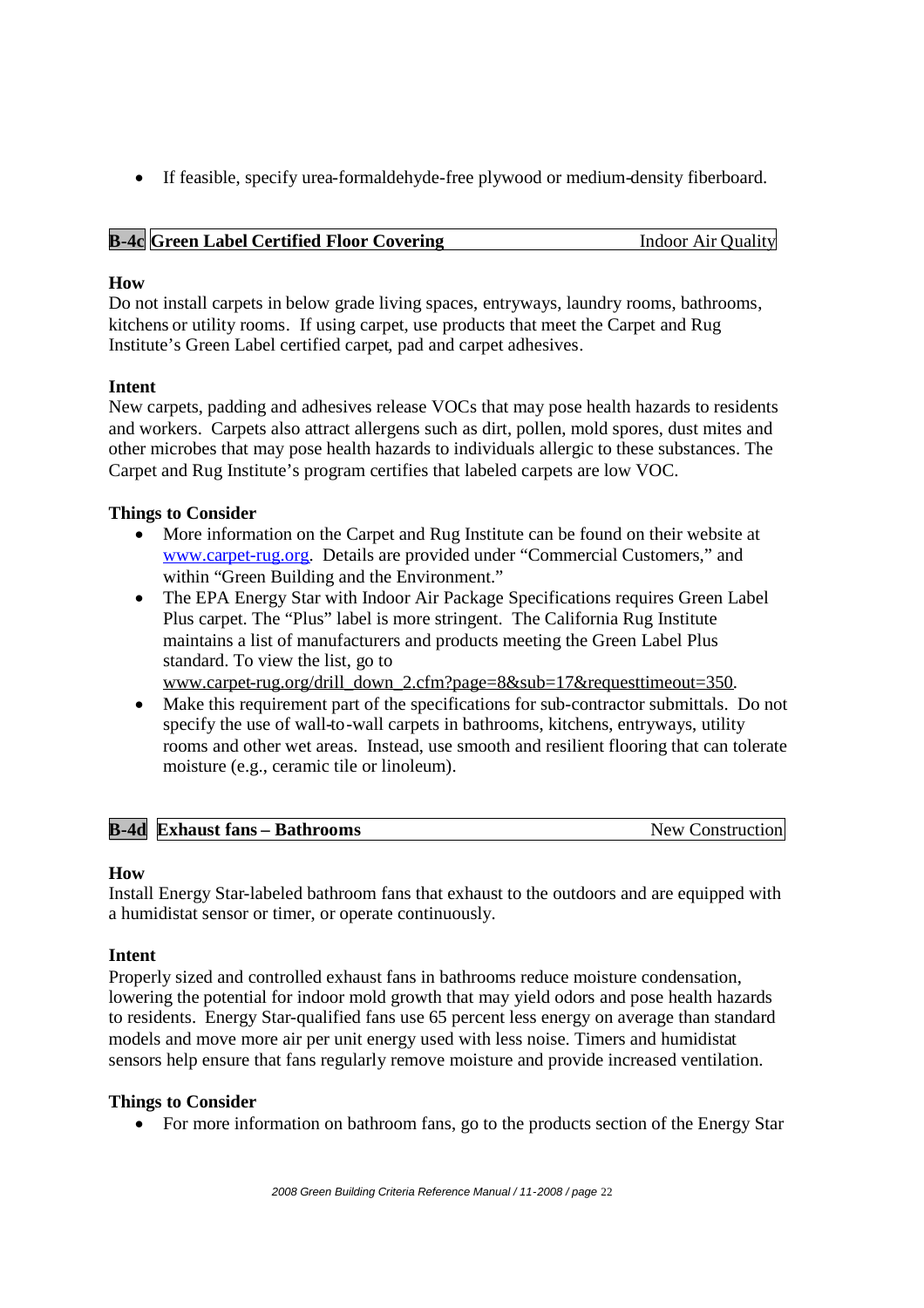If feasible, specify urea-formaldehyde-free plywood or medium-density fiberboard.

|  | <b>B-4c</b> Green Label Certified Floor Covering | <b>Indoor Air Quality</b> |
|--|--------------------------------------------------|---------------------------|
|--|--------------------------------------------------|---------------------------|

#### **How**

Do not install carpets in below grade living spaces, entryways, laundry rooms, bathrooms, kitchens or utility rooms. If using carpet, use products that meet the Carpet and Rug Institute's Green Label certified carpet, pad and carpet adhesives.

#### **Intent**

New carpets, padding and adhesives release VOCs that may pose health hazards to residents and workers. Carpets also attract allergens such as dirt, pollen, mold spores, dust mites and other microbes that may pose health hazards to individuals allergic to these substances. The Carpet and Rug Institute's program certifies that labeled carpets are low VOC.

#### **Things to Consider**

- More information on the Carpet and Rug Institute can be found on their website at www.carpet-rug.org. Details are provided under "Commercial Customers," and within "Green Building and the Environment."
- The EPA Energy Star with Indoor Air Package Specifications requires Green Label Plus carpet. The "Plus" label is more stringent. The California Rug Institute maintains a list of manufacturers and products meeting the Green Label Plus standard. To view the list, go to

www.carpet-rug.org/drill\_down\_2.cfm?page=8&sub=17&requesttimeout=350.

 Make this requirement part of the specifications for sub-contractor submittals. Do not specify the use of wall-to-wall carpets in bathrooms, kitchens, entryways, utility rooms and other wet areas. Instead, use smooth and resilient flooring that can tolerate moisture (e.g., ceramic tile or linoleum).

| <b>B-4d</b> Exhaust fans - Bathrooms<br>New Construction |  |
|----------------------------------------------------------|--|
|----------------------------------------------------------|--|

#### **How**

Install Energy Star-labeled bathroom fans that exhaust to the outdoors and are equipped with a humidistat sensor or timer, or operate continuously.

#### **Intent**

Properly sized and controlled exhaust fans in bathrooms reduce moisture condensation, lowering the potential for indoor mold growth that may yield odors and pose health hazards to residents. Energy Star-qualified fans use 65 percent less energy on average than standard models and move more air per unit energy used with less noise. Timers and humidistat sensors help ensure that fans regularly remove moisture and provide increased ventilation.

#### **Things to Consider**

• For more information on bathroom fans, go to the products section of the Energy Star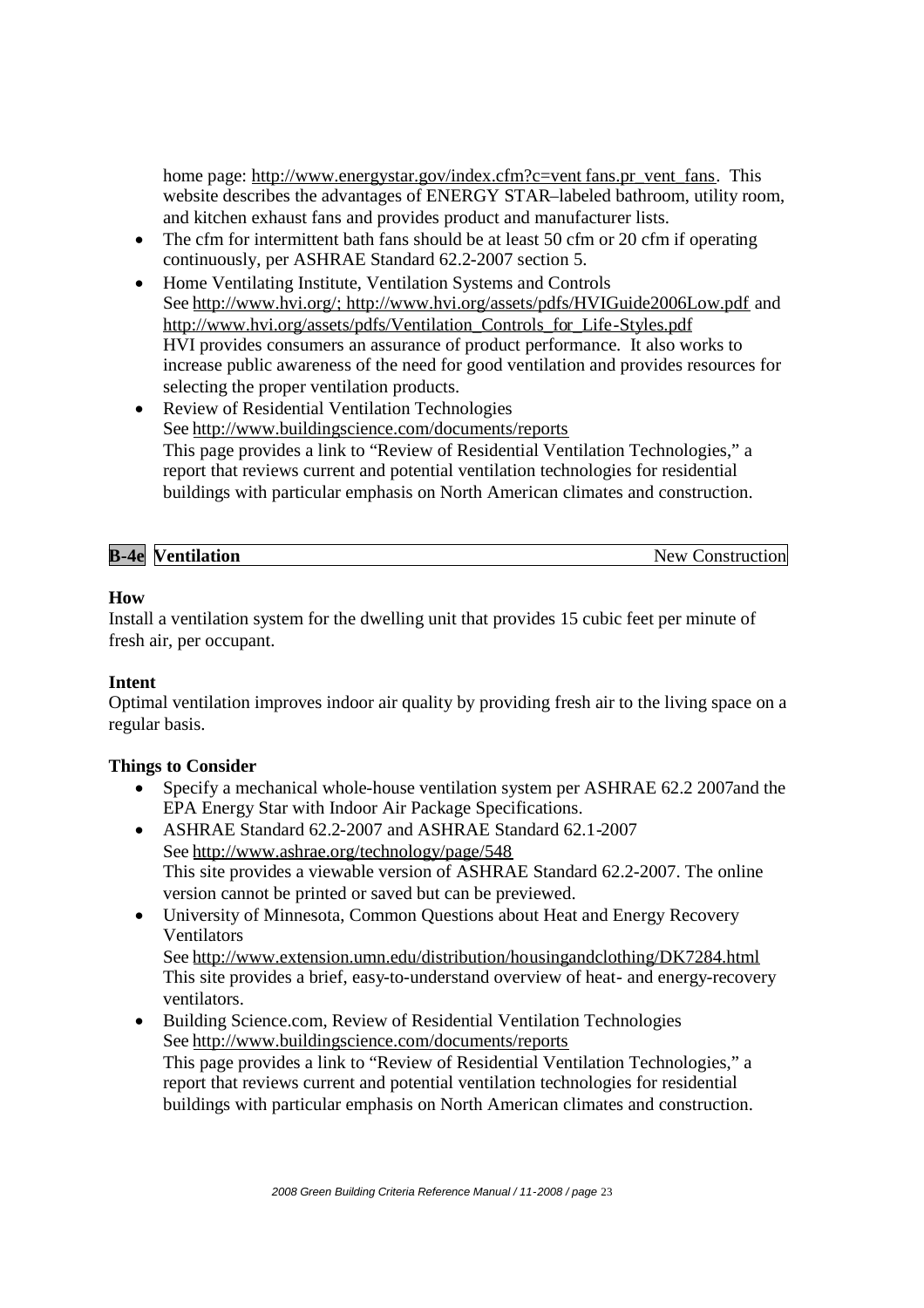home page: http://www.energystar.gov/index.cfm?c=vent fans.pr\_vent\_fans. This website describes the advantages of ENERGY STAR–labeled bathroom, utility room, and kitchen exhaust fans and provides product and manufacturer lists.

- The cfm for intermittent bath fans should be at least 50 cfm or 20 cfm if operating continuously, per ASHRAE Standard 62.2-2007 section 5.
- Home Ventilating Institute, Ventilation Systems and Controls See http://www.hvi.org/; http://www.hvi.org/assets/pdfs/HVIGuide2006Low.pdf and http://www.hvi.org/assets/pdfs/Ventilation\_Controls\_for\_Life-Styles.pdf HVI provides consumers an assurance of product performance. It also works to increase public awareness of the need for good ventilation and provides resources for selecting the proper ventilation products.
- Review of Residential Ventilation Technologies See http://www.buildingscience.com/documents/reports This page provides a link to "Review of Residential Ventilation Technologies," a report that reviews current and potential ventilation technologies for residential buildings with particular emphasis on North American climates and construction.

| <b>B-4e</b> | <b>Ventilation</b> | New C<br>Construction |
|-------------|--------------------|-----------------------|

#### **How**

Install a ventilation system for the dwelling unit that provides 15 cubic feet per minute of fresh air, per occupant.

#### **Intent**

Optimal ventilation improves indoor air quality by providing fresh air to the living space on a regular basis.

#### **Things to Consider**

- Specify a mechanical whole-house ventilation system per ASHRAE 62.2 2007and the EPA Energy Star with Indoor Air Package Specifications.
- ASHRAE Standard 62.2-2007 and ASHRAE Standard 62.1-2007 See http://www.ashrae.org/technology/page/548 This site provides a viewable version of ASHRAE Standard 62.2-2007. The online version cannot be printed or saved but can be previewed.
- University of Minnesota, Common Questions about Heat and Energy Recovery Ventilators See http://www.extension.umn.edu/distribution/housingandclothing/DK7284.html

This site provides a brief, easy-to-understand overview of heat- and energy-recovery ventilators.

 Building Science.com, Review of Residential Ventilation Technologies See http://www.buildingscience.com/documents/reports This page provides a link to "Review of Residential Ventilation Technologies," a report that reviews current and potential ventilation technologies for residential buildings with particular emphasis on North American climates and construction.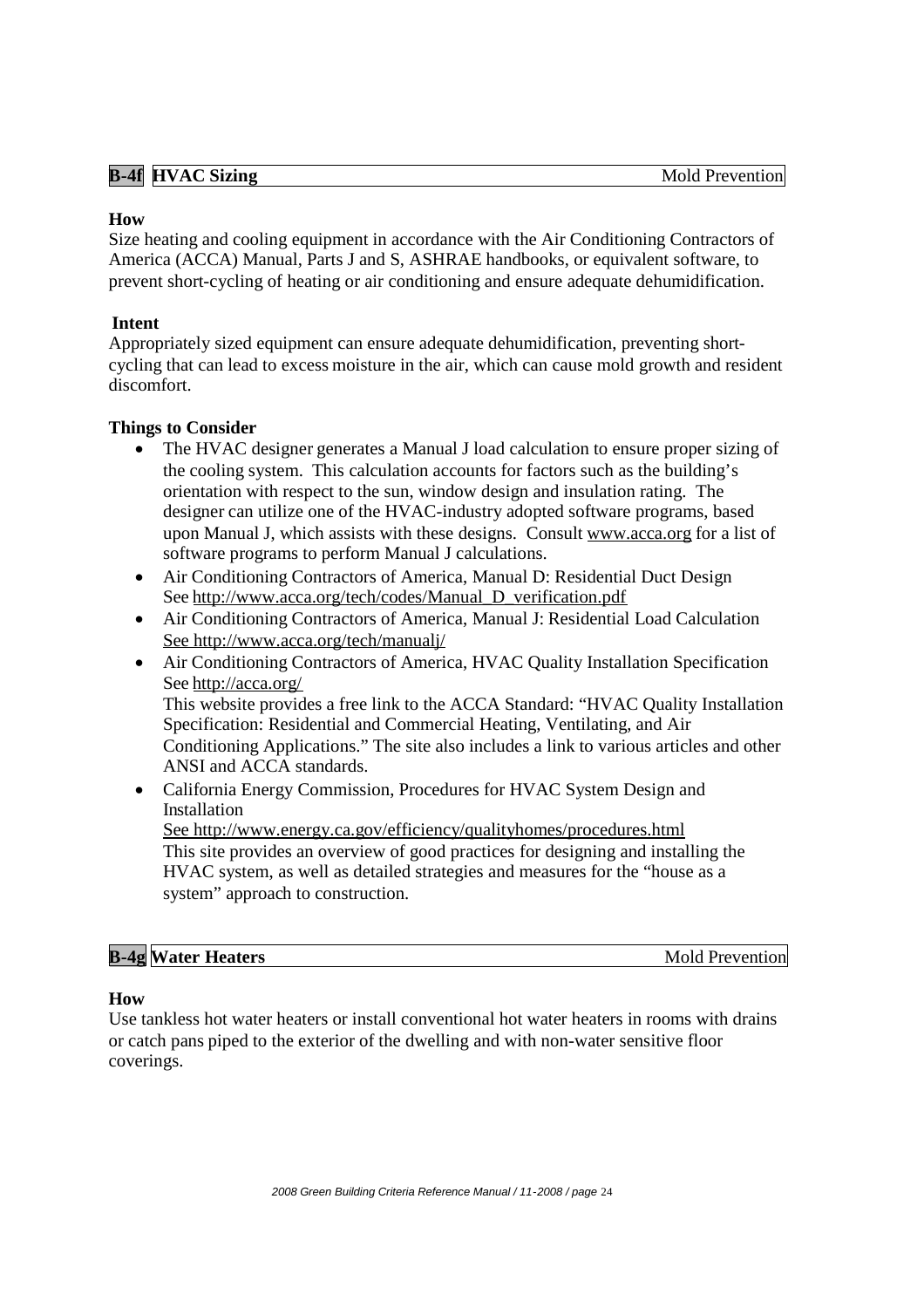#### **B-4f HVAC** Sizing Mold Prevention

#### **How**

Size heating and cooling equipment in accordance with the Air Conditioning Contractors of America (ACCA) Manual, Parts J and S, ASHRAE handbooks, or equivalent software, to prevent short-cycling of heating or air conditioning and ensure adequate dehumidification.

#### **Intent**

Appropriately sized equipment can ensure adequate dehumidification, preventing shortcycling that can lead to excess moisture in the air, which can cause mold growth and resident discomfort.

#### **Things to Consider**

- The HVAC designer generates a Manual J load calculation to ensure proper sizing of the cooling system. This calculation accounts for factors such as the building's orientation with respect to the sun, window design and insulation rating. The designer can utilize one of the HVAC-industry adopted software programs, based upon Manual J, which assists with these designs. Consult www.acca.org for a list of software programs to perform Manual J calculations.
- Air Conditioning Contractors of America, Manual D: Residential Duct Design See http://www.acca.org/tech/codes/Manual\_D\_verification.pdf
- Air Conditioning Contractors of America, Manual J: Residential Load Calculation See http://www.acca.org/tech/manualj/
- Air Conditioning Contractors of America, HVAC Quality Installation Specification See http://acca.org/ This website provides a free link to the ACCA Standard: "HVAC Quality Installation Specification: Residential and Commercial Heating, Ventilating, and Air Conditioning Applications." The site also includes a link to various articles and other ANSI and ACCA standards.
- California Energy Commission, Procedures for HVAC System Design and Installation See http://www.energy.ca.gov/efficiency/qualityhomes/procedures.html This site provides an overview of good practices for designing and installing the HVAC system, as well as detailed strategies and measures for the "house as a system" approach to construction.

**Mold Prevention** 

#### **How**

Use tankless hot water heaters or install conventional hot water heaters in rooms with drains or catch pans piped to the exterior of the dwelling and with non-water sensitive floor coverings.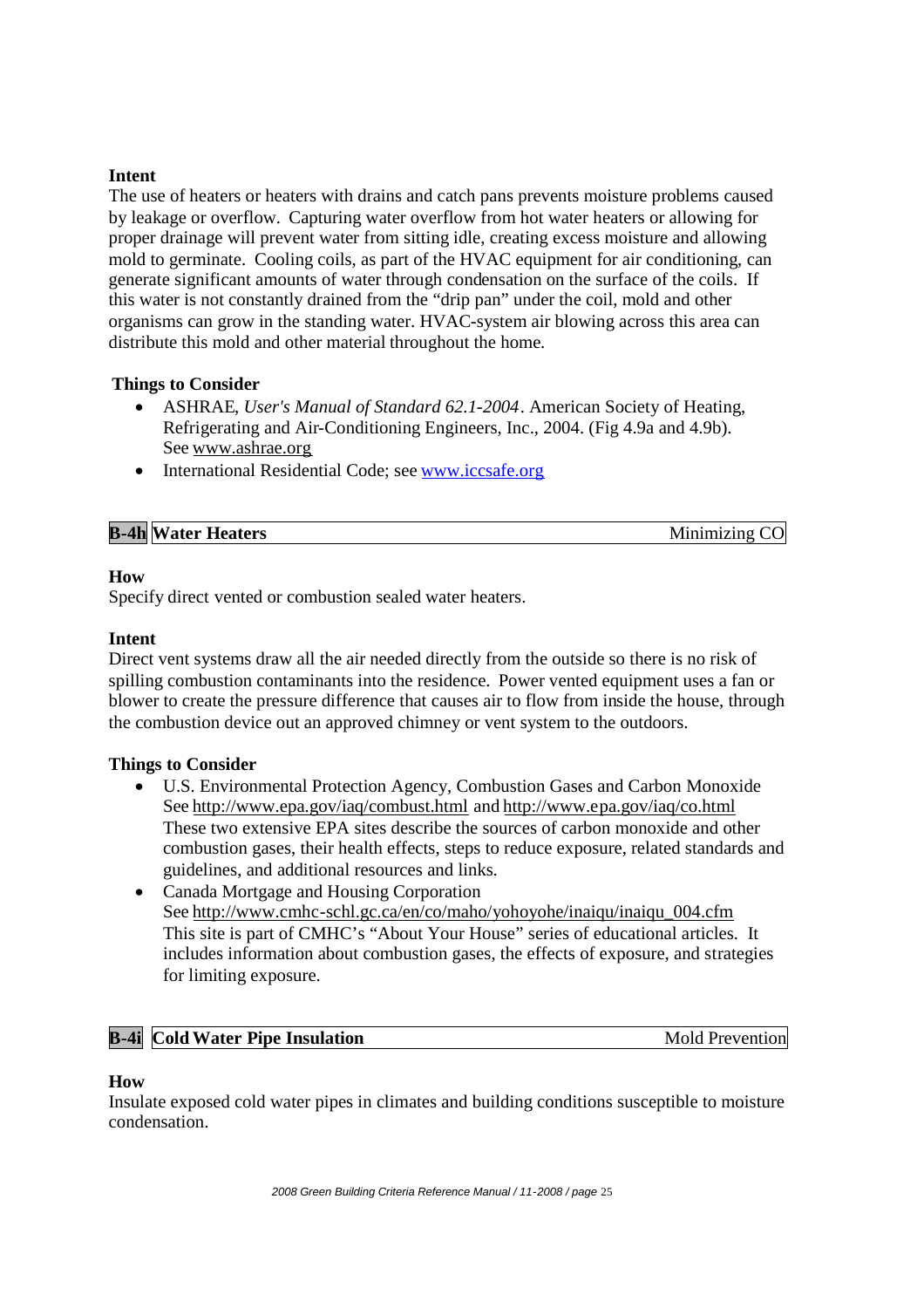#### **Intent**

The use of heaters or heaters with drains and catch pans prevents moisture problems caused by leakage or overflow. Capturing water overflow from hot water heaters or allowing for proper drainage will prevent water from sitting idle, creating excess moisture and allowing mold to germinate. Cooling coils, as part of the HVAC equipment for air conditioning, can generate significant amounts of water through condensation on the surface of the coils. If this water is not constantly drained from the "drip pan" under the coil, mold and other organisms can grow in the standing water. HVAC-system air blowing across this area can distribute this mold and other material throughout the home.

#### **Things to Consider**

- ASHRAE, *User's Manual of Standard 62.1-2004*. American Society of Heating, Refrigerating and Air-Conditioning Engineers, Inc., 2004. (Fig 4.9a and 4.9b). See www.ashrae.org
- International Residential Code: see www.iccsafe.org

| <b>B-4h Water Heaters</b> | Minimizing CO |
|---------------------------|---------------|

#### **How**

Specify direct vented or combustion sealed water heaters.

#### **Intent**

Direct vent systems draw all the air needed directly from the outside so there is no risk of spilling combustion contaminants into the residence. Power vented equipment uses a fan or blower to create the pressure difference that causes air to flow from inside the house, through the combustion device out an approved chimney or vent system to the outdoors.

#### **Things to Consider**

- U.S. Environmental Protection Agency, Combustion Gases and Carbon Monoxide See http://www.epa.gov/iaq/combust.html and http://www.epa.gov/iaq/co.html These two extensive EPA sites describe the sources of carbon monoxide and other combustion gases, their health effects, steps to reduce exposure, related standards and guidelines, and additional resources and links.
- Canada Mortgage and Housing Corporation See http://www.cmhc-schl.gc.ca/en/co/maho/yohoyohe/inaiqu/inaiqu\_004.cfm This site is part of CMHC's "About Your House" series of educational articles. It includes information about combustion gases, the effects of exposure, and strategies for limiting exposure.

#### **B-4i Cold Water Pipe Insulation** Mold Prevention

#### **How**

Insulate exposed cold water pipes in climates and building conditions susceptible to moisture condensation.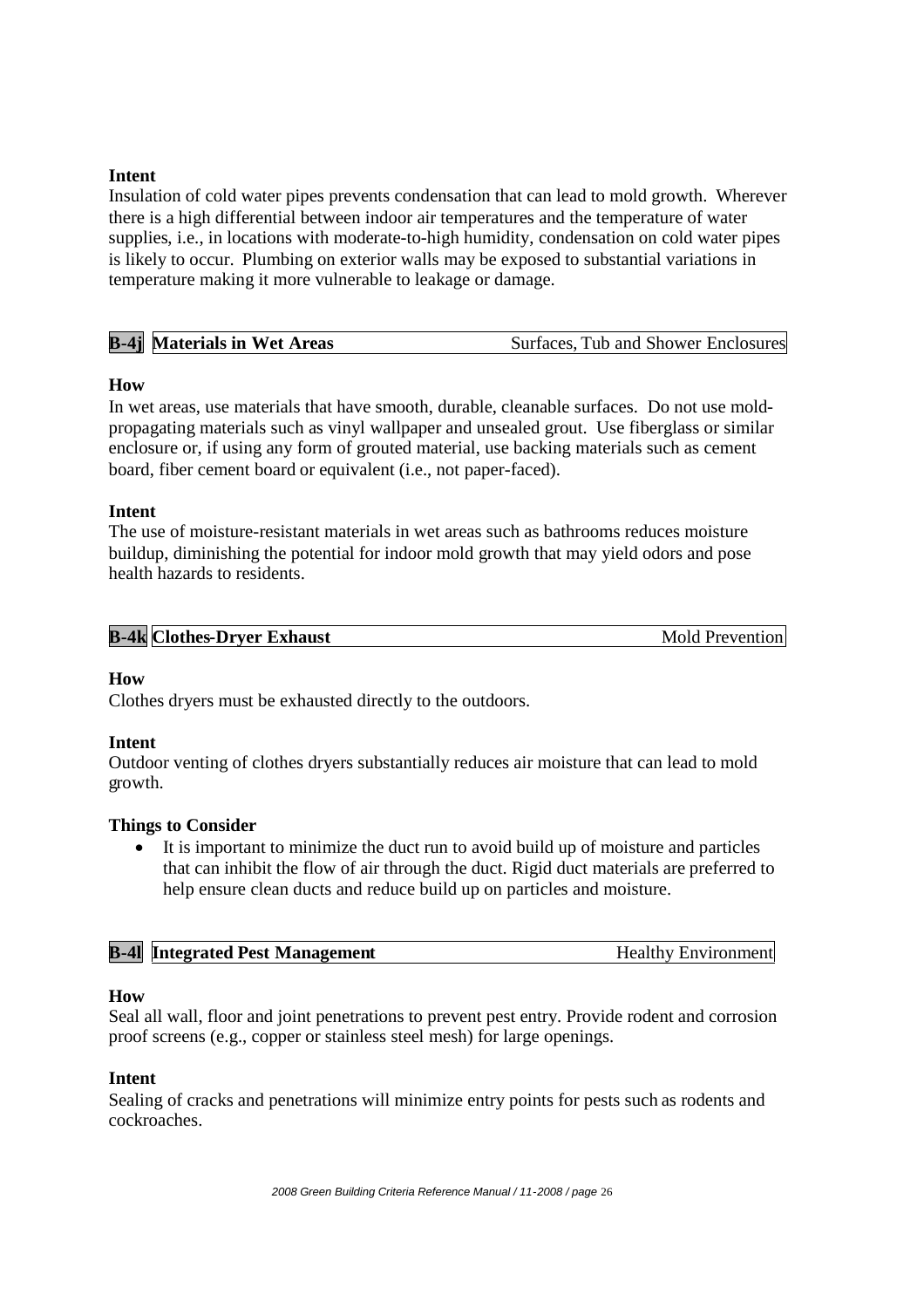#### **Intent**

Insulation of cold water pipes prevents condensation that can lead to mold growth. Wherever there is a high differential between indoor air temperatures and the temperature of water supplies, i.e., in locations with moderate-to-high humidity, condensation on cold water pipes is likely to occur. Plumbing on exterior walls may be exposed to substantial variations in temperature making it more vulnerable to leakage or damage.

| <b>B-4j</b> Materials in Wet Areas | Surfaces, Tub and Shower Enclosures |
|------------------------------------|-------------------------------------|
|------------------------------------|-------------------------------------|

#### **How**

In wet areas, use materials that have smooth, durable, cleanable surfaces. Do not use moldpropagating materials such as vinyl wallpaper and unsealed grout. Use fiberglass or similar enclosure or, if using any form of grouted material, use backing materials such as cement board, fiber cement board or equivalent (i.e., not paper-faced).

#### **Intent**

The use of moisture-resistant materials in wet areas such as bathrooms reduces moisture buildup, diminishing the potential for indoor mold growth that may yield odors and pose health hazards to residents.

| <b>B-4k</b> Clothes-Dryer Exhaust | <b>Mold Prevention</b> |
|-----------------------------------|------------------------|

#### **How**

Clothes dryers must be exhausted directly to the outdoors.

#### **Intent**

Outdoor venting of clothes dryers substantially reduces air moisture that can lead to mold growth.

#### **Things to Consider**

 It is important to minimize the duct run to avoid build up of moisture and particles that can inhibit the flow of air through the duct. Rigid duct materials are preferred to help ensure clean ducts and reduce build up on particles and moisture.

| <b>B-41</b> Integrated Pest Management | Healthy Environment |
|----------------------------------------|---------------------|
|                                        |                     |

#### **How**

Seal all wall, floor and joint penetrations to prevent pest entry. Provide rodent and corrosion proof screens (e.g., copper or stainless steel mesh) for large openings.

#### **Intent**

Sealing of cracks and penetrations will minimize entry points for pests such as rodents and cockroaches.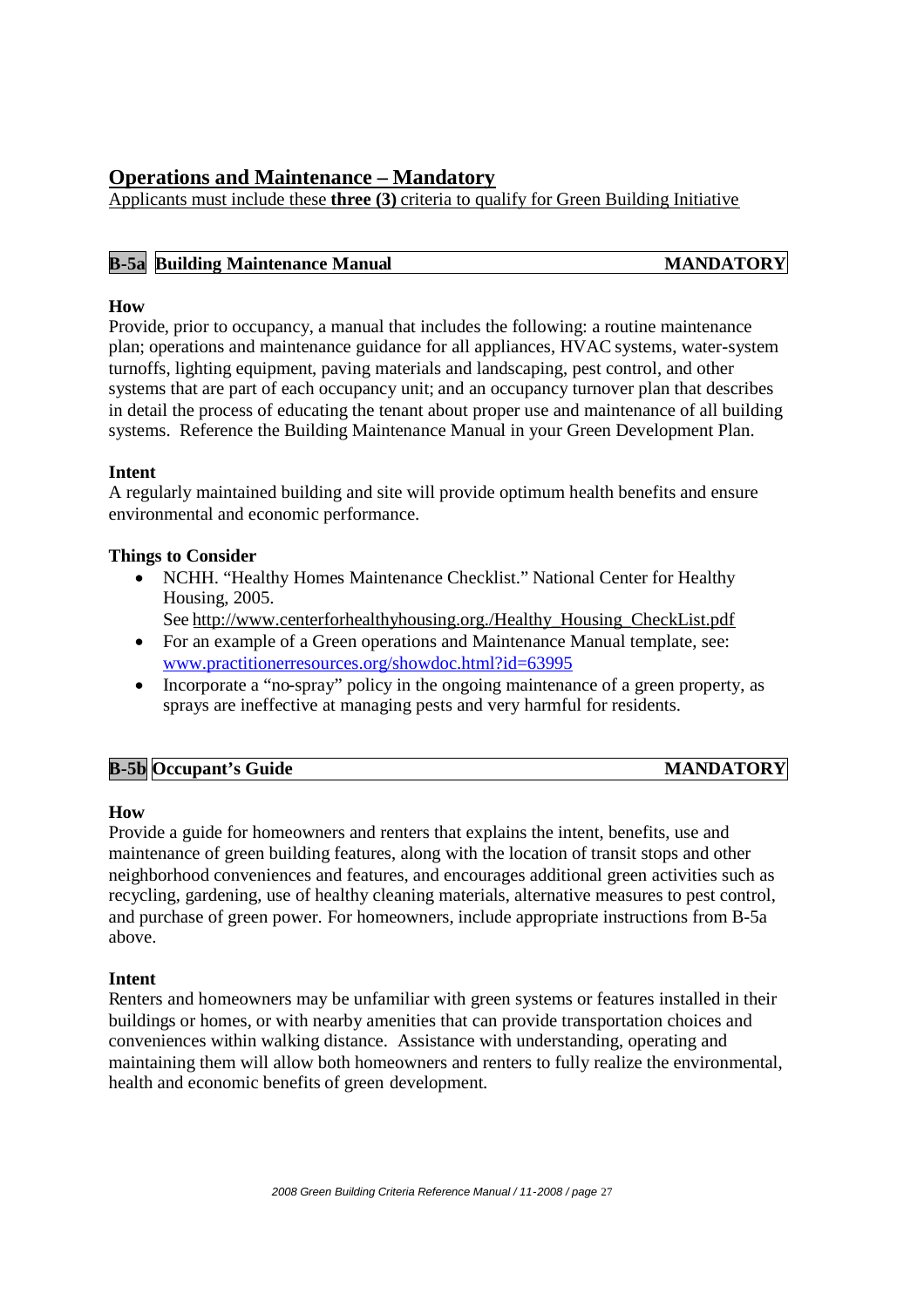## **Operations and Maintenance – Mandatory**

Applicants must include these **three (3)** criteria to qualify for Green Building Initiative

| <b>B-5a</b> Building Maintenance Manual | <b>MANDATORY</b> |
|-----------------------------------------|------------------|
|                                         |                  |

#### **How**

Provide, prior to occupancy, a manual that includes the following: a routine maintenance plan; operations and maintenance guidance for all appliances, HVAC systems, water-system turnoffs, lighting equipment, paving materials and landscaping, pest control, and other systems that are part of each occupancy unit; and an occupancy turnover plan that describes in detail the process of educating the tenant about proper use and maintenance of all building systems. Reference the Building Maintenance Manual in your Green Development Plan.

#### **Intent**

A regularly maintained building and site will provide optimum health benefits and ensure environmental and economic performance.

#### **Things to Consider**

- NCHH. "Healthy Homes Maintenance Checklist." National Center for Healthy Housing, 2005.
	- See http://www.centerforhealthyhousing.org./Healthy\_Housing\_CheckList.pdf
- For an example of a Green operations and Maintenance Manual template, see: www.practitionerresources.org/showdoc.html?id=63995
- Incorporate a "no-spray" policy in the ongoing maintenance of a green property, as sprays are ineffective at managing pests and very harmful for residents.

| <b>B-5b Occupant's Guide</b> | <b>MANDATORY</b> |
|------------------------------|------------------|
|                              |                  |

#### **How**

Provide a guide for homeowners and renters that explains the intent, benefits, use and maintenance of green building features, along with the location of transit stops and other neighborhood conveniences and features, and encourages additional green activities such as recycling, gardening, use of healthy cleaning materials, alternative measures to pest control, and purchase of green power. For homeowners, include appropriate instructions from B-5a above.

#### **Intent**

Renters and homeowners may be unfamiliar with green systems or features installed in their buildings or homes, or with nearby amenities that can provide transportation choices and conveniences within walking distance. Assistance with understanding, operating and maintaining them will allow both homeowners and renters to fully realize the environmental, health and economic benefits of green development.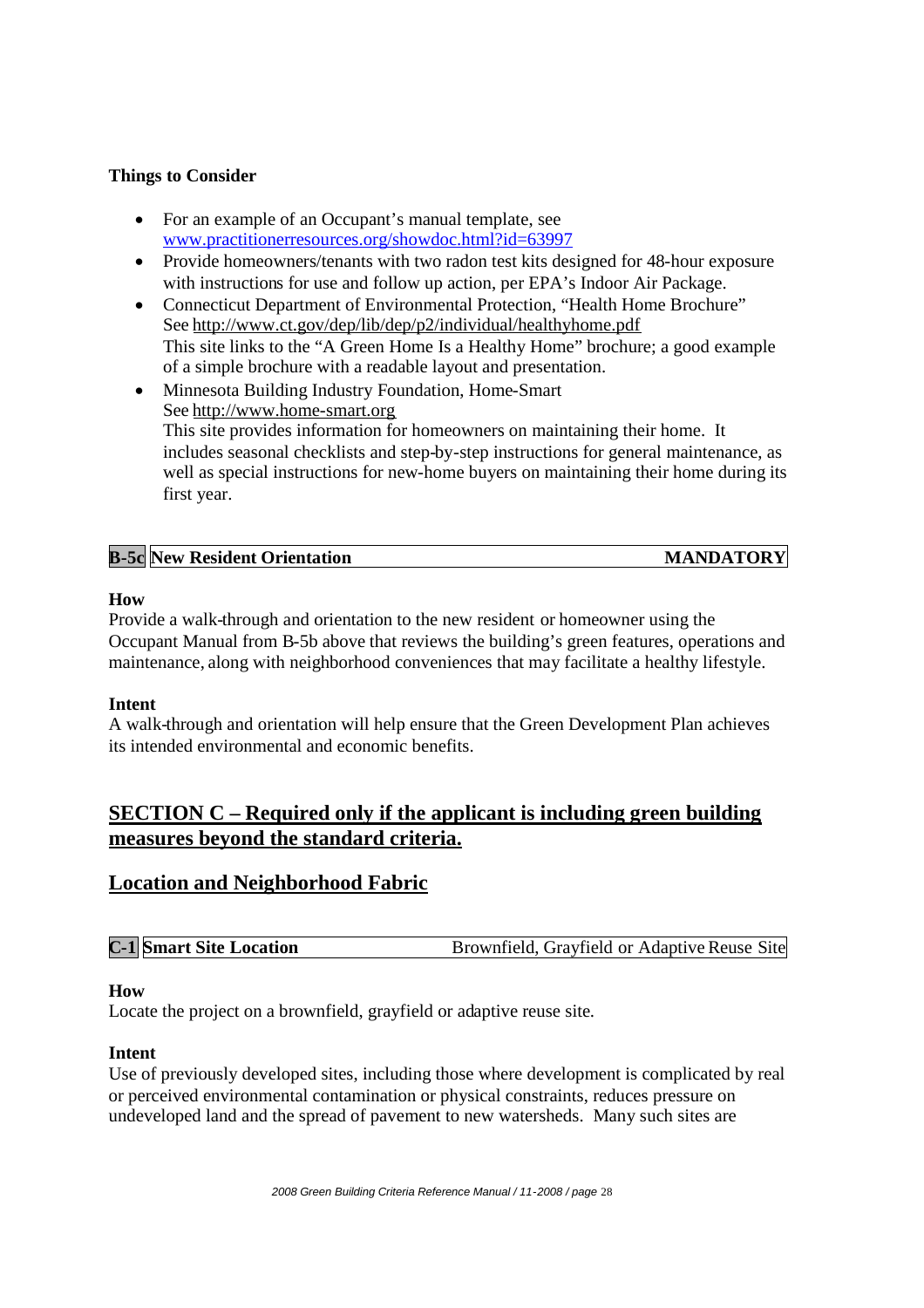#### **Things to Consider**

- For an example of an Occupant's manual template, see www.practitionerresources.org/showdoc.html?id=63997
- Provide homeowners/tenants with two radon test kits designed for 48-hour exposure with instructions for use and follow up action, per EPA's Indoor Air Package.
- Connecticut Department of Environmental Protection, "Health Home Brochure" See http://www.ct.gov/dep/lib/dep/p2/individual/healthyhome.pdf This site links to the "A Green Home Is a Healthy Home" brochure; a good example of a simple brochure with a readable layout and presentation.
- Minnesota Building Industry Foundation, Home-Smart See http://www.home-smart.org This site provides information for homeowners on maintaining their home. It includes seasonal checklists and step-by-step instructions for general maintenance, as well as special instructions for new-home buyers on maintaining their home during its first year.

| $\mathbf{B}\text{-}5$ | Resident Orientation '<br>$\P$ New $\,$ | <b>ATORY</b><br>$\mathbf{\mathcal{L}}$ |
|-----------------------|-----------------------------------------|----------------------------------------|
|                       |                                         |                                        |

#### **How**

Provide a walk-through and orientation to the new resident or homeowner using the Occupant Manual from B-5b above that reviews the building's green features, operations and maintenance, along with neighborhood conveniences that may facilitate a healthy lifestyle.

#### **Intent**

A walk-through and orientation will help ensure that the Green Development Plan achieves its intended environmental and economic benefits.

## **SECTION C – Required only if the applicant is including green building measures beyond the standard criteria.**

## **Location and Neighborhood Fabric**

#### **How**

Locate the project on a brownfield, grayfield or adaptive reuse site.

#### **Intent**

Use of previously developed sites, including those where development is complicated by real or perceived environmental contamination or physical constraints, reduces pressure on undeveloped land and the spread of pavement to new watersheds. Many such sites are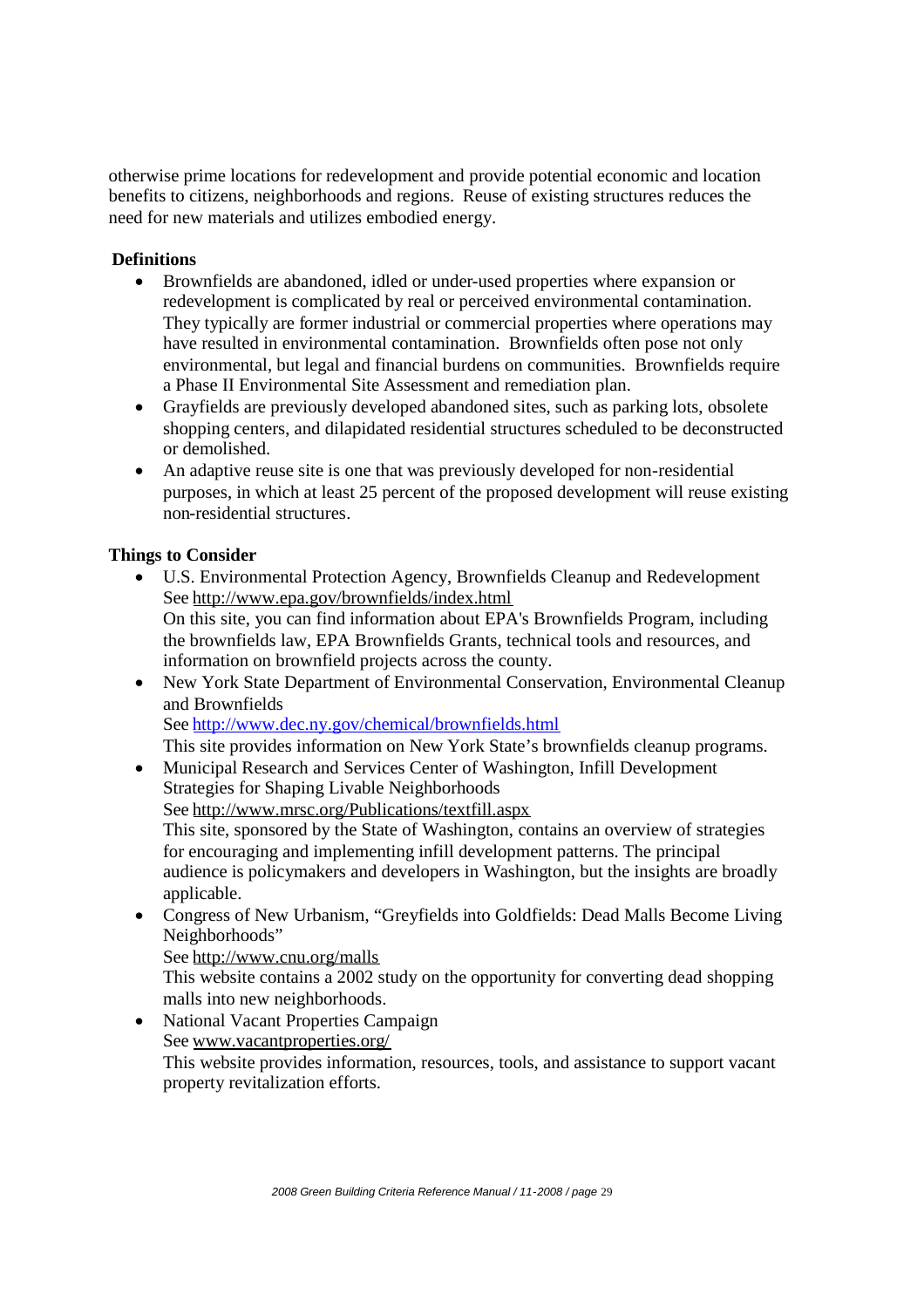otherwise prime locations for redevelopment and provide potential economic and location benefits to citizens, neighborhoods and regions. Reuse of existing structures reduces the need for new materials and utilizes embodied energy.

#### **Definitions**

- Brownfields are abandoned, idled or under-used properties where expansion or redevelopment is complicated by real or perceived environmental contamination. They typically are former industrial or commercial properties where operations may have resulted in environmental contamination. Brownfields often pose not only environmental, but legal and financial burdens on communities. Brownfields require a Phase II Environmental Site Assessment and remediation plan.
- Grayfields are previously developed abandoned sites, such as parking lots, obsolete shopping centers, and dilapidated residential structures scheduled to be deconstructed or demolished.
- An adaptive reuse site is one that was previously developed for non-residential purposes, in which at least 25 percent of the proposed development will reuse existing non-residential structures.

#### **Things to Consider**

- U.S. Environmental Protection Agency, Brownfields Cleanup and Redevelopment See http://www.epa.gov/brownfields/index.html On this site, you can find information about EPA's Brownfields Program, including the brownfields law, EPA Brownfields Grants, technical tools and resources, and information on brownfield projects across the county.
- New York State Department of Environmental Conservation, Environmental Cleanup and Brownfields See http://www.dec.ny.gov/chemical/brownfields.html

This site provides information on New York State's brownfields cleanup programs.

- Municipal Research and Services Center of Washington, Infill Development Strategies for Shaping Livable Neighborhoods See http://www.mrsc.org/Publications/textfill.aspx This site, sponsored by the State of Washington, contains an overview of strategies for encouraging and implementing infill development patterns. The principal audience is policymakers and developers in Washington, but the insights are broadly applicable.
- Congress of New Urbanism, "Greyfields into Goldfields: Dead Malls Become Living Neighborhoods"

See http://www.cnu.org/malls

This website contains a 2002 study on the opportunity for converting dead shopping malls into new neighborhoods.

• National Vacant Properties Campaign See www.vacantproperties.org/ This website provides information, resources, tools, and assistance to support vacant property revitalization efforts.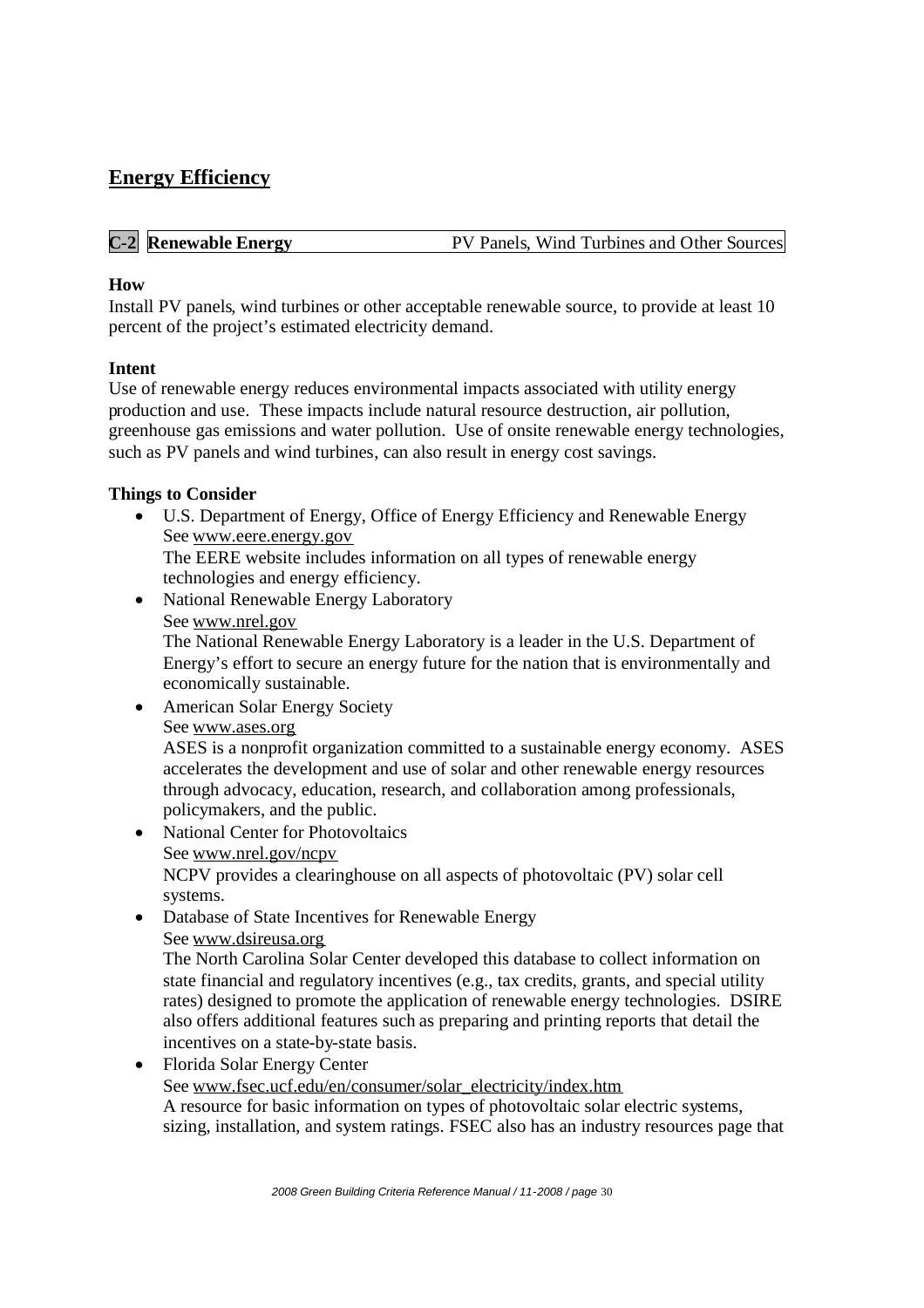## **Energy Efficiency**

| <b>C-2</b> Renewable Energy<br>PV Panels, Wind Turbines and Other Sources |
|---------------------------------------------------------------------------|
|---------------------------------------------------------------------------|

#### **How**

Install PV panels, wind turbines or other acceptable renewable source, to provide at least 10 percent of the project's estimated electricity demand.

#### **Intent**

Use of renewable energy reduces environmental impacts associated with utility energy production and use. These impacts include natural resource destruction, air pollution, greenhouse gas emissions and water pollution. Use of onsite renewable energy technologies, such as PV panels and wind turbines, can also result in energy cost savings.

#### **Things to Consider**

 U.S. Department of Energy, Office of Energy Efficiency and Renewable Energy See www.eere.energy.gov The EERE website includes information on all types of renewable energy

technologies and energy efficiency.

• National Renewable Energy Laboratory

#### See www.nrel.gov

The National Renewable Energy Laboratory is a leader in the U.S. Department of Energy's effort to secure an energy future for the nation that is environmentally and economically sustainable.

- American Solar Energy Society See www.ases.org ASES is a nonprofit organization committed to a sustainable energy economy. ASES accelerates the development and use of solar and other renewable energy resources through advocacy, education, research, and collaboration among professionals, policymakers, and the public.
- National Center for Photovoltaics See www.nrel.gov/ncpv NCPV provides a clearinghouse on all aspects of photovoltaic (PV) solar cell systems.
- Database of State Incentives for Renewable Energy See www.dsireusa.org

The North Carolina Solar Center developed this database to collect information on state financial and regulatory incentives (e.g., tax credits, grants, and special utility rates) designed to promote the application of renewable energy technologies. DSIRE also offers additional features such as preparing and printing reports that detail the incentives on a state-by-state basis.

 Florida Solar Energy Center See www.fsec.ucf.edu/en/consumer/solar\_electricity/index.htm A resource for basic information on types of photovoltaic solar electric systems, sizing, installation, and system ratings. FSEC also has an industry resources page that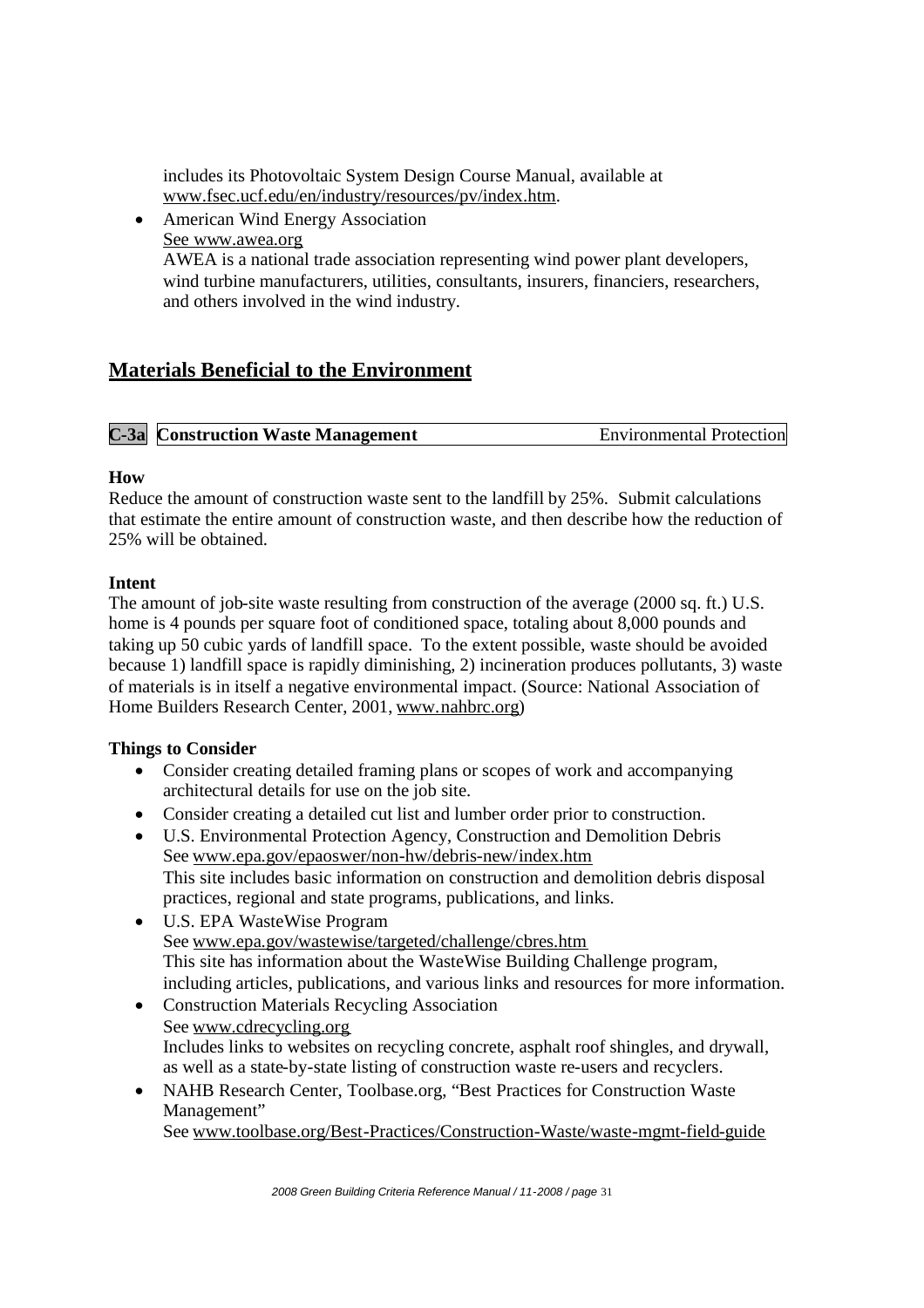includes its Photovoltaic System Design Course Manual, available at www.fsec.ucf.edu/en/industry/resources/pv/index.htm.

 American Wind Energy Association See www.awea.org AWEA is a national trade association representing wind power plant developers, wind turbine manufacturers, utilities, consultants, insurers, financiers, researchers, and others involved in the wind industry.

## **Materials Beneficial to the Environment**

| <b>C-3a</b> Construction Waste Management | <b>Environmental Protection</b> |
|-------------------------------------------|---------------------------------|
|                                           |                                 |

#### **How**

Reduce the amount of construction waste sent to the landfill by 25%. Submit calculations that estimate the entire amount of construction waste, and then describe how the reduction of 25% will be obtained.

#### **Intent**

The amount of job-site waste resulting from construction of the average (2000 sq. ft.) U.S. home is 4 pounds per square foot of conditioned space, totaling about 8,000 pounds and taking up 50 cubic yards of landfill space. To the extent possible, waste should be avoided because 1) landfill space is rapidly diminishing, 2) incineration produces pollutants, 3) waste of materials is in itself a negative environmental impact. (Source: National Association of Home Builders Research Center, 2001, www.nahbrc.org)

#### **Things to Consider**

- Consider creating detailed framing plans or scopes of work and accompanying architectural details for use on the job site.
- Consider creating a detailed cut list and lumber order prior to construction.
- U.S. Environmental Protection Agency, Construction and Demolition Debris See www.epa.gov/epaoswer/non-hw/debris-new/index.htm This site includes basic information on construction and demolition debris disposal practices, regional and state programs, publications, and links.
- U.S. EPA WasteWise Program See www.epa.gov/wastewise/targeted/challenge/cbres.htm This site has information about the WasteWise Building Challenge program, including articles, publications, and various links and resources for more information.
- Construction Materials Recycling Association See www.cdrecycling.org Includes links to websites on recycling concrete, asphalt roof shingles, and drywall, as well as a state-by-state listing of construction waste re-users and recyclers.
- NAHB Research Center, Toolbase.org, "Best Practices for Construction Waste Management"

See www.toolbase.org/Best-Practices/Construction-Waste/waste-mgmt-field-guide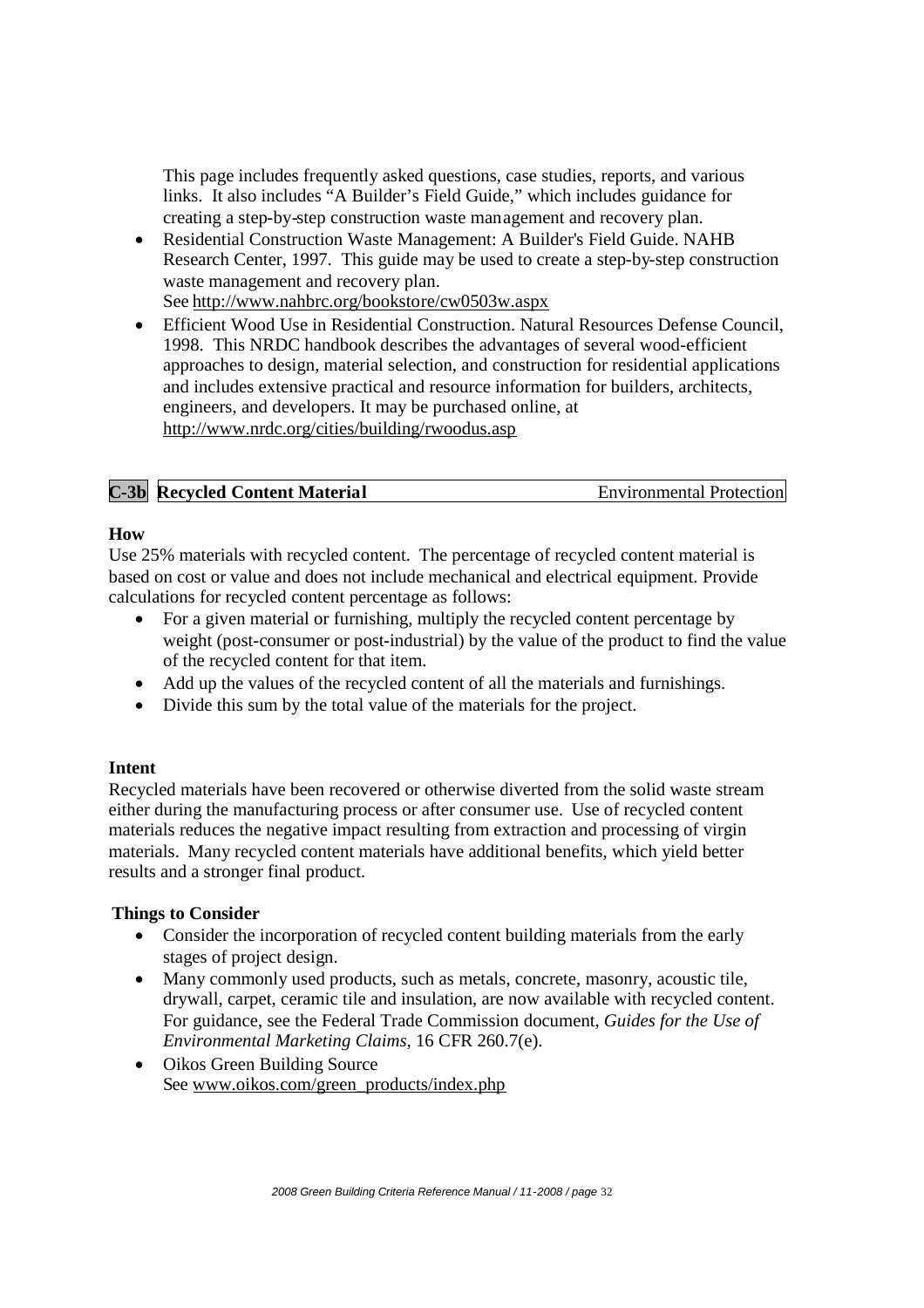This page includes frequently asked questions, case studies, reports, and various links. It also includes "A Builder's Field Guide," which includes guidance for creating a step-by-step construction waste management and recovery plan.

- Residential Construction Waste Management: A Builder's Field Guide. NAHB Research Center, 1997. This guide may be used to create a step-by-step construction waste management and recovery plan. See http://www.nahbrc.org/bookstore/cw0503w.aspx
- Efficient Wood Use in Residential Construction. Natural Resources Defense Council, 1998. This NRDC handbook describes the advantages of several wood-efficient approaches to design, material selection, and construction for residential applications and includes extensive practical and resource information for builders, architects, engineers, and developers. It may be purchased online, at http://www.nrdc.org/cities/building/rwoodus.asp

| <b>C-3b</b> Recycled Content Material | <b>Environmental Protection</b> |
|---------------------------------------|---------------------------------|
|---------------------------------------|---------------------------------|

#### **How**

Use 25% materials with recycled content. The percentage of recycled content material is based on cost or value and does not include mechanical and electrical equipment. Provide calculations for recycled content percentage as follows:

- For a given material or furnishing, multiply the recycled content percentage by weight (post-consumer or post-industrial) by the value of the product to find the value of the recycled content for that item.
- Add up the values of the recycled content of all the materials and furnishings.
- Divide this sum by the total value of the materials for the project.

#### **Intent**

Recycled materials have been recovered or otherwise diverted from the solid waste stream either during the manufacturing process or after consumer use. Use of recycled content materials reduces the negative impact resulting from extraction and processing of virgin materials. Many recycled content materials have additional benefits, which yield better results and a stronger final product.

#### **Things to Consider**

- Consider the incorporation of recycled content building materials from the early stages of project design.
- Many commonly used products, such as metals, concrete, masonry, acoustic tile, drywall, carpet, ceramic tile and insulation, are now available with recycled content. For guidance, see the Federal Trade Commission document, *Guides for the Use of Environmental Marketing Claims*, 16 CFR 260.7(e).
- Oikos Green Building Source See www.oikos.com/green\_products/index.php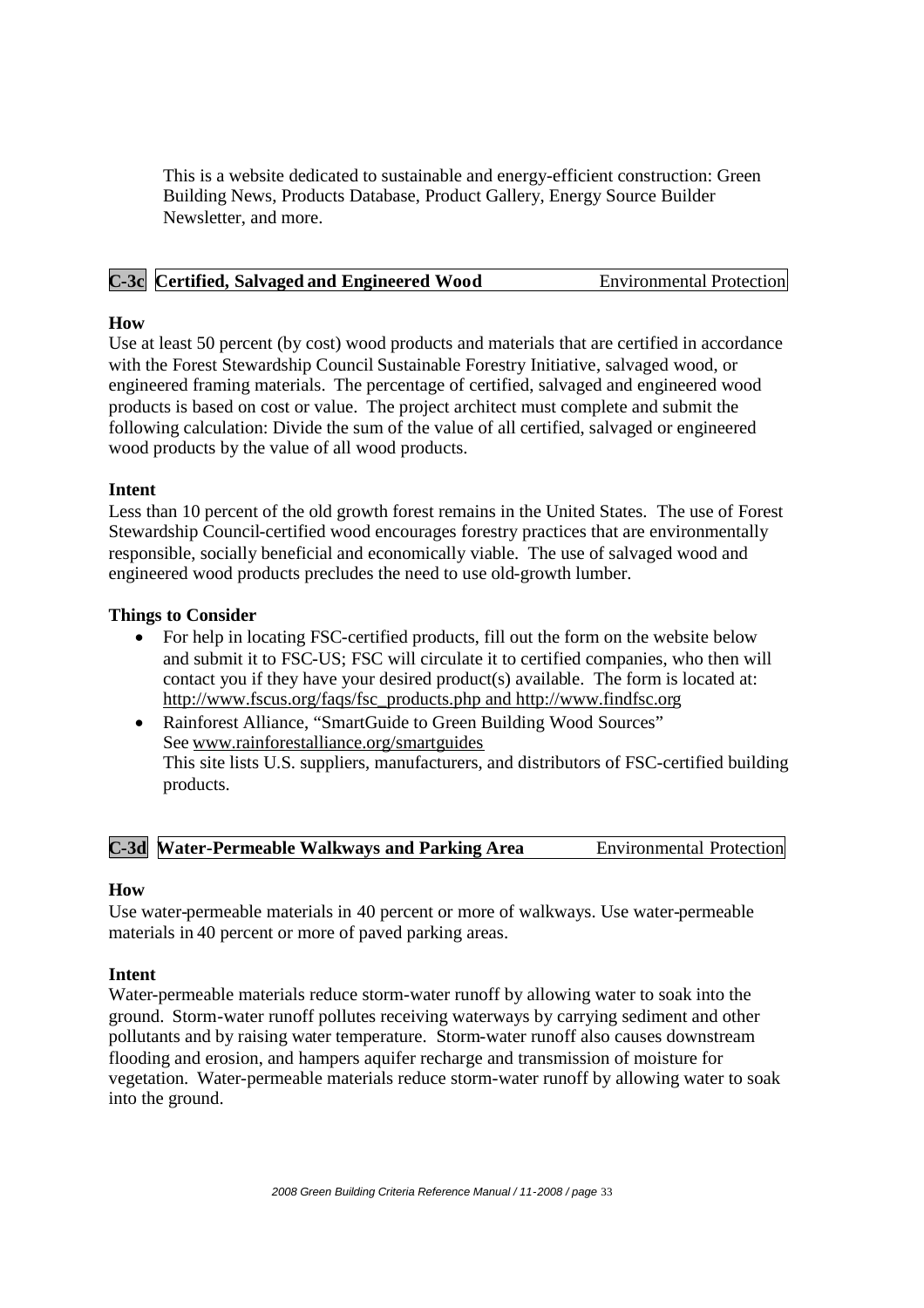This is a website dedicated to sustainable and energy-efficient construction: Green Building News, Products Database, Product Gallery, Energy Source Builder Newsletter, and more.

#### **C-3c Certified, Salvaged and Engineered Wood** Environmental Protection

#### **How**

Use at least 50 percent (by cost) wood products and materials that are certified in accordance with the Forest Stewardship Council Sustainable Forestry Initiative, salvaged wood, or engineered framing materials. The percentage of certified, salvaged and engineered wood products is based on cost or value. The project architect must complete and submit the following calculation: Divide the sum of the value of all certified, salvaged or engineered wood products by the value of all wood products.

#### **Intent**

Less than 10 percent of the old growth forest remains in the United States. The use of Forest Stewardship Council-certified wood encourages forestry practices that are environmentally responsible, socially beneficial and economically viable. The use of salvaged wood and engineered wood products precludes the need to use old-growth lumber.

#### **Things to Consider**

- For help in locating FSC-certified products, fill out the form on the website below and submit it to FSC-US; FSC will circulate it to certified companies, who then will contact you if they have your desired product(s) available. The form is located at: http://www.fscus.org/faqs/fsc\_products.php and http://www.findfsc.org
- Rainforest Alliance, "SmartGuide to Green Building Wood Sources" See www.rainforestalliance.org/smartguides This site lists U.S. suppliers, manufacturers, and distributors of FSC-certified building products.

**C-3d Water-Permeable Walkways and Parking Area** Environmental Protection

#### **How**

Use water-permeable materials in 40 percent or more of walkways. Use water-permeable materials in 40 percent or more of paved parking areas.

#### **Intent**

Water-permeable materials reduce storm-water runoff by allowing water to soak into the ground. Storm-water runoff pollutes receiving waterways by carrying sediment and other pollutants and by raising water temperature. Storm-water runoff also causes downstream flooding and erosion, and hampers aquifer recharge and transmission of moisture for vegetation. Water-permeable materials reduce storm-water runoff by allowing water to soak into the ground.